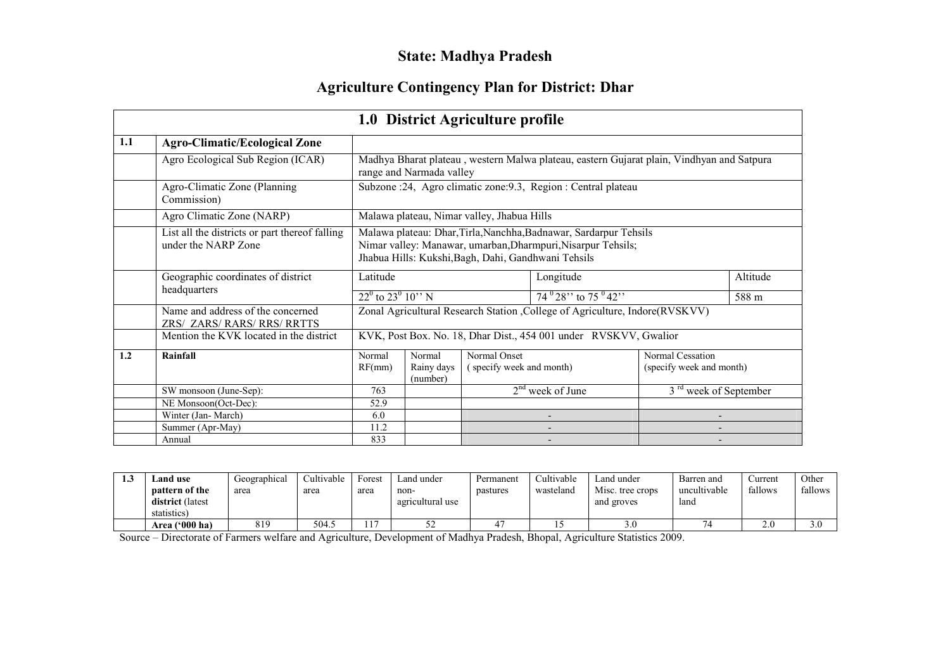# State: Madhya Pradesh

# Agriculture Contingency Plan for District: Dhar

|     |                                                                       |                                                                                                                                                                                          |                                  | 1.0 District Agriculture profile           |                                                                                           |                                              |          |  |
|-----|-----------------------------------------------------------------------|------------------------------------------------------------------------------------------------------------------------------------------------------------------------------------------|----------------------------------|--------------------------------------------|-------------------------------------------------------------------------------------------|----------------------------------------------|----------|--|
| 1.1 | <b>Agro-Climatic/Ecological Zone</b>                                  |                                                                                                                                                                                          |                                  |                                            |                                                                                           |                                              |          |  |
|     | Agro Ecological Sub Region (ICAR)                                     |                                                                                                                                                                                          | range and Narmada valley         |                                            | Madhya Bharat plateau, western Malwa plateau, eastern Gujarat plain, Vindhyan and Satpura |                                              |          |  |
|     | Agro-Climatic Zone (Planning<br>Commission)                           |                                                                                                                                                                                          |                                  |                                            | Subzone :24, Agro climatic zone:9.3, Region : Central plateau                             |                                              |          |  |
|     | Agro Climatic Zone (NARP)                                             |                                                                                                                                                                                          |                                  | Malawa plateau, Nimar valley, Jhabua Hills |                                                                                           |                                              |          |  |
|     | List all the districts or part thereof falling<br>under the NARP Zone | Malawa plateau: Dhar, Tirla, Nanchha, Badnawar, Sardarpur Tehsils<br>Nimar valley: Manawar, umarban, Dharmpuri, Nisarpur Tehsils;<br>Jhabua Hills: Kukshi, Bagh, Dahi, Gandhwani Tehsils |                                  |                                            |                                                                                           |                                              |          |  |
|     | Geographic coordinates of district                                    | Latitude                                                                                                                                                                                 |                                  | Longitude                                  |                                                                                           |                                              | Altitude |  |
|     | headquarters                                                          | $22^{\circ}$ to $23^{\circ}$ 10" N                                                                                                                                                       |                                  |                                            | $74^{0}$ 28" to 75 $^{0}$ 42"                                                             |                                              | 588 m    |  |
|     | Name and address of the concerned<br>ZRS/ ZARS/ RARS/ RRS/ RRTTS      |                                                                                                                                                                                          |                                  |                                            | Zonal Agricultural Research Station , College of Agriculture, Indore(RVSKVV)              |                                              |          |  |
|     | Mention the KVK located in the district                               |                                                                                                                                                                                          |                                  |                                            | KVK, Post Box. No. 18, Dhar Dist., 454 001 under RVSKVV, Gwalior                          |                                              |          |  |
| 1.2 | Rainfall                                                              | Normal<br>RF(mm)                                                                                                                                                                         | Normal<br>Rainy days<br>(number) | Normal Onset<br>(specify week and month)   |                                                                                           | Normal Cessation<br>(specify week and month) |          |  |
|     | SW monsoon (June-Sep):                                                | 763                                                                                                                                                                                      |                                  |                                            | $2nd$ week of June                                                                        | 3 <sup>rd</sup> week of September            |          |  |
|     | NE Monsoon(Oct-Dec):                                                  | 52.9                                                                                                                                                                                     |                                  |                                            |                                                                                           |                                              |          |  |
|     | Winter (Jan-March)                                                    | 6.0                                                                                                                                                                                      |                                  |                                            |                                                                                           |                                              |          |  |
|     | Summer (Apr-May)                                                      | 11.2                                                                                                                                                                                     |                                  |                                            |                                                                                           |                                              |          |  |
|     | Annual                                                                | 833                                                                                                                                                                                      |                                  |                                            |                                                                                           |                                              |          |  |

| ن ر | Land use<br>pattern of the<br>district (latest<br>statistics) | Geographical<br>area | Cultivable<br>area | Forest<br>area | Land under<br>non-<br>agricultural use | Permanent<br>pastures | Cultivable<br>wasteland | Land under<br>Misc. tree crops<br>and groves | Barren and<br>uncultivable<br>land | ∠urrent<br>fallows | Other<br>fallows |
|-----|---------------------------------------------------------------|----------------------|--------------------|----------------|----------------------------------------|-----------------------|-------------------------|----------------------------------------------|------------------------------------|--------------------|------------------|
|     | Area ('000 ha)                                                |                      | 504.5              | 117            | ے ر                                    |                       |                         |                                              |                                    | 2.0                | 3.0              |

Source – Directorate of Farmers welfare and Agriculture, Development of Madhya Pradesh, Bhopal, Agriculture Statistics 2009.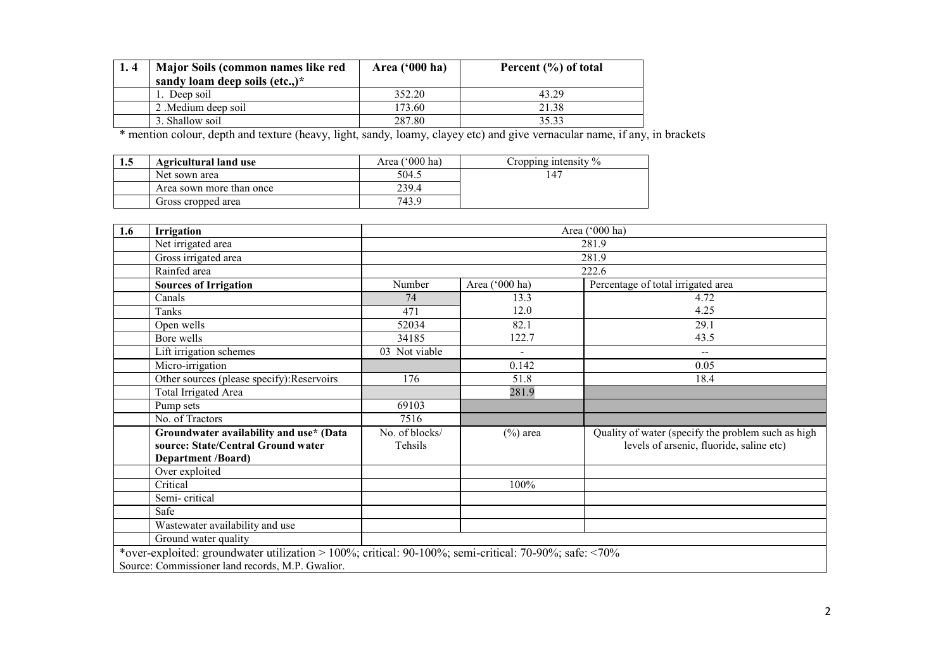| Major Soils (common names like red | Area $('000 ha)$ | Percent (%) of total |
|------------------------------------|------------------|----------------------|
| sandy loam deep soils (etc.,) $*$  |                  |                      |
| 1. Deep soil                       | 352.20           | 43.29                |
| 2. Medium deep soil                | 173.60           | 21.38                |
| 3. Shallow soil                    | 287.80           | 35.33                |

3. Shallow soil 287.80 35.33 \* mention colour, depth and texture (heavy, light, sandy, loamy, clayey etc) and give vernacular name, if any, in brackets

| 1.5 | <b>Agricultural land use</b> | Area ('000 ha) | Cropping intensity $\%$ |
|-----|------------------------------|----------------|-------------------------|
|     | Net sown area                | 504.5          |                         |
|     | Area sown more than once     | 239.4          |                         |
|     | Gross cropped area           | 743.9          |                         |

| 1.6 | <b>Irrigation</b>                                                                                     |                |                | Area ('000 ha)                                     |
|-----|-------------------------------------------------------------------------------------------------------|----------------|----------------|----------------------------------------------------|
|     | Net irrigated area                                                                                    |                |                | 281.9                                              |
|     | Gross irrigated area                                                                                  |                |                | 281.9                                              |
|     | Rainfed area                                                                                          |                |                | 222.6                                              |
|     | <b>Sources of Irrigation</b>                                                                          | Number         | Area ('000 ha) | Percentage of total irrigated area                 |
|     | Canals                                                                                                | 74             | 13.3           | 4.72                                               |
|     | Tanks                                                                                                 | 471            | 12.0           | 4.25                                               |
|     | Open wells                                                                                            | 52034          | 82.1           | 29.1                                               |
|     | Bore wells                                                                                            | 34185          | 122.7          | 43.5                                               |
|     | Lift irrigation schemes                                                                               | 03 Not viable  | $\blacksquare$ | $- -$                                              |
|     | Micro-irrigation                                                                                      |                | 0.142          | 0.05                                               |
|     | Other sources (please specify): Reservoirs                                                            | 176            | 51.8           | 18.4                                               |
|     | Total Irrigated Area                                                                                  |                | 281.9          |                                                    |
|     | Pump sets                                                                                             | 69103          |                |                                                    |
|     | No. of Tractors                                                                                       | 7516           |                |                                                    |
|     | Groundwater availability and use* (Data                                                               | No. of blocks/ | $(\%)$ area    | Quality of water (specify the problem such as high |
|     | source: State/Central Ground water                                                                    | Tehsils        |                | levels of arsenic, fluoride, saline etc)           |
|     | <b>Department /Board)</b>                                                                             |                |                |                                                    |
|     | Over exploited                                                                                        |                |                |                                                    |
|     | Critical                                                                                              |                | 100%           |                                                    |
|     | Semi-critical                                                                                         |                |                |                                                    |
|     | Safe                                                                                                  |                |                |                                                    |
|     | Wastewater availability and use                                                                       |                |                |                                                    |
|     | Ground water quality                                                                                  |                |                |                                                    |
|     | *over-exploited: groundwater utilization > 100%; critical: 90-100%; semi-critical: 70-90%; safe: <70% |                |                |                                                    |
|     | Source: Commissioner land records, M.P. Gwalior.                                                      |                |                |                                                    |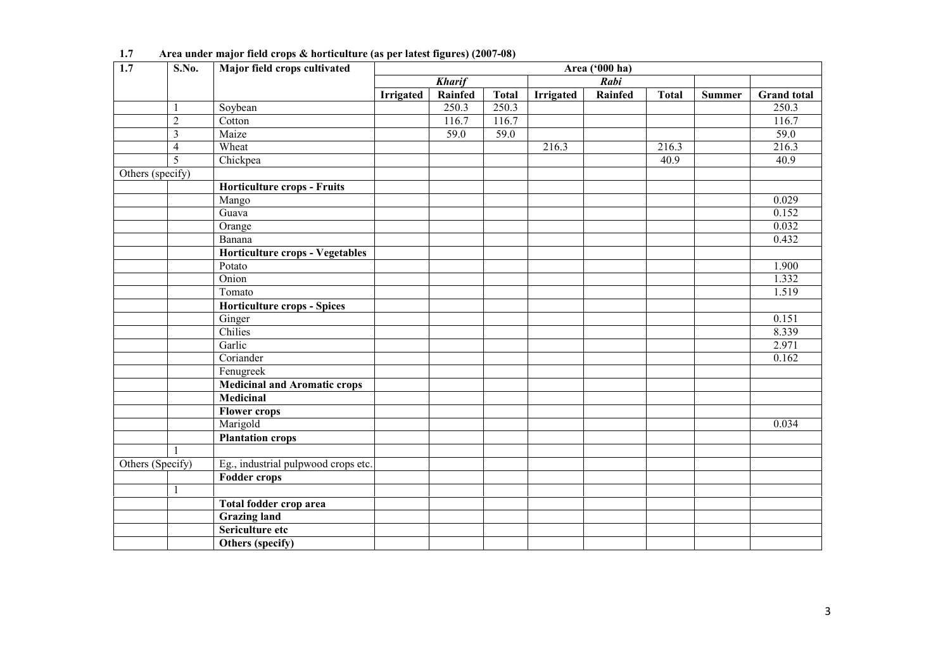| $\overline{1.7}$ | S.No.                   | Major field crops cultivated           | Area ('000 ha) |               |                   |           |         |              |               |                   |  |
|------------------|-------------------------|----------------------------------------|----------------|---------------|-------------------|-----------|---------|--------------|---------------|-------------------|--|
|                  |                         |                                        |                | <b>Kharif</b> |                   |           | Rabi    |              |               |                   |  |
|                  |                         |                                        | Irrigated      | Rainfed       | <b>Total</b>      | Irrigated | Rainfed | <b>Total</b> | <b>Summer</b> | Grand total       |  |
|                  | $\mathbf{1}$            | Soybean                                |                | 250.3         | 250.3             |           |         |              |               | 250.3             |  |
|                  | $\overline{2}$          | Cotton                                 |                | 116.7         | 116.7             |           |         |              |               | 116.7             |  |
|                  | $\overline{\mathbf{3}}$ | Maize                                  |                | 59.0          | $\overline{59.0}$ |           |         |              |               | $\overline{59.0}$ |  |
|                  | $\overline{4}$          | Wheat                                  |                |               |                   | 216.3     |         | 216.3        |               | 216.3             |  |
|                  | $\overline{5}$          | Chickpea                               |                |               |                   |           |         | 40.9         |               | 40.9              |  |
| Others (specify) |                         |                                        |                |               |                   |           |         |              |               |                   |  |
|                  |                         | <b>Horticulture crops - Fruits</b>     |                |               |                   |           |         |              |               |                   |  |
|                  |                         | Mango                                  |                |               |                   |           |         |              |               | 0.029             |  |
|                  |                         | Guava                                  |                |               |                   |           |         |              |               | 0.152             |  |
|                  |                         | Orange                                 |                |               |                   |           |         |              |               | 0.032             |  |
|                  |                         | Banana                                 |                |               |                   |           |         |              |               | 0.432             |  |
|                  |                         | <b>Horticulture crops - Vegetables</b> |                |               |                   |           |         |              |               |                   |  |
|                  |                         | Potato                                 |                |               |                   |           |         |              |               | 1.900             |  |
|                  |                         | Onion                                  |                |               |                   |           |         |              |               | 1.332             |  |
|                  |                         | Tomato                                 |                |               |                   |           |         |              |               | 1.519             |  |
|                  |                         | <b>Horticulture crops - Spices</b>     |                |               |                   |           |         |              |               |                   |  |
|                  |                         | Ginger                                 |                |               |                   |           |         |              |               | 0.151             |  |
|                  |                         | Chilies                                |                |               |                   |           |         |              |               | 8.339             |  |
|                  |                         | Garlic                                 |                |               |                   |           |         |              |               | 2.971             |  |
|                  |                         | Coriander                              |                |               |                   |           |         |              |               | 0.162             |  |
|                  |                         | Fenugreek                              |                |               |                   |           |         |              |               |                   |  |
|                  |                         | <b>Medicinal and Aromatic crops</b>    |                |               |                   |           |         |              |               |                   |  |
|                  |                         | <b>Medicinal</b>                       |                |               |                   |           |         |              |               |                   |  |
|                  |                         | <b>Flower crops</b>                    |                |               |                   |           |         |              |               |                   |  |
|                  |                         | Marigold                               |                |               |                   |           |         |              |               | 0.034             |  |
|                  |                         | <b>Plantation crops</b>                |                |               |                   |           |         |              |               |                   |  |
|                  |                         |                                        |                |               |                   |           |         |              |               |                   |  |
| Others (Specify) |                         | Eg., industrial pulpwood crops etc.    |                |               |                   |           |         |              |               |                   |  |
|                  |                         | <b>Fodder crops</b>                    |                |               |                   |           |         |              |               |                   |  |
|                  | $\mathbf{1}$            |                                        |                |               |                   |           |         |              |               |                   |  |
|                  |                         | Total fodder crop area                 |                |               |                   |           |         |              |               |                   |  |
|                  |                         | <b>Grazing land</b>                    |                |               |                   |           |         |              |               |                   |  |
|                  |                         | Sericulture etc                        |                |               |                   |           |         |              |               |                   |  |
|                  |                         | Others (specify)                       |                |               |                   |           |         |              |               |                   |  |

1.7 Area under major field crops & horticulture (as per latest figures) (2007-08)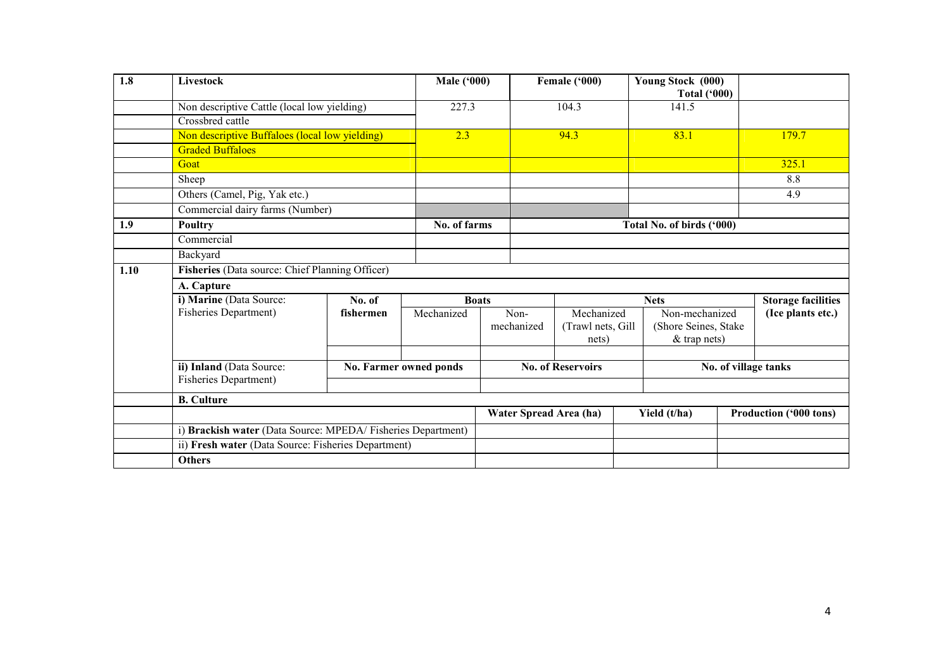| 1.8  | Livestock                                                        |           | <b>Male ('000)</b>     |                        | Female $(^{000})$        |             | Young Stock (000)<br><b>Total ('000)</b> |                           |                               |  |
|------|------------------------------------------------------------------|-----------|------------------------|------------------------|--------------------------|-------------|------------------------------------------|---------------------------|-------------------------------|--|
|      | Non descriptive Cattle (local low yielding)                      |           | 227.3                  |                        | 104.3                    |             | 141.5                                    |                           |                               |  |
|      | Crossbred cattle                                                 |           |                        |                        |                          |             |                                          |                           |                               |  |
|      | Non descriptive Buffaloes (local low yielding)                   |           | 2.3                    |                        | 94.3                     |             | 83.1                                     |                           | 179.7                         |  |
|      | <b>Graded Buffaloes</b>                                          |           |                        |                        |                          |             |                                          |                           |                               |  |
|      | Goat                                                             |           |                        |                        |                          |             |                                          |                           | 325.1                         |  |
|      | Sheep                                                            |           |                        |                        |                          |             |                                          |                           | 8.8                           |  |
|      | Others (Camel, Pig, Yak etc.)<br>Commercial dairy farms (Number) |           |                        |                        |                          |             |                                          |                           | 4.9                           |  |
|      |                                                                  |           |                        |                        |                          |             |                                          |                           |                               |  |
| 1.9  | Poultry<br>Commercial                                            |           | No. of farms           |                        |                          |             | Total No. of birds ('000)                |                           |                               |  |
|      |                                                                  |           |                        |                        |                          |             |                                          |                           |                               |  |
|      | Backyard                                                         |           |                        |                        |                          |             |                                          |                           |                               |  |
| 1.10 | Fisheries (Data source: Chief Planning Officer)                  |           |                        |                        |                          |             |                                          |                           |                               |  |
|      | A. Capture                                                       |           |                        |                        |                          |             |                                          |                           |                               |  |
|      | i) Marine (Data Source:                                          | No. of    | <b>Boats</b>           |                        |                          | <b>Nets</b> |                                          | <b>Storage facilities</b> |                               |  |
|      | <b>Fisheries Department)</b>                                     | fishermen | Mechanized             | Non-                   | Mechanized               |             | Non-mechanized                           |                           | (Ice plants etc.)             |  |
|      |                                                                  |           |                        | mechanized             | (Trawl nets, Gill        |             | (Shore Seines, Stake                     |                           |                               |  |
|      |                                                                  |           |                        |                        | nets)                    |             | & trap nets)                             |                           |                               |  |
|      | ii) Inland (Data Source:                                         |           |                        |                        |                          |             |                                          |                           |                               |  |
|      | Fisheries Department)                                            |           | No. Farmer owned ponds |                        | <b>No. of Reservoirs</b> |             |                                          |                           | No. of village tanks          |  |
|      |                                                                  |           |                        |                        |                          |             |                                          |                           |                               |  |
|      | <b>B.</b> Culture                                                |           |                        |                        |                          |             |                                          |                           |                               |  |
|      |                                                                  |           |                        | Water Spread Area (ha) |                          |             | Yield (t/ha)                             |                           | <b>Production ('000 tons)</b> |  |
|      | i) Brackish water (Data Source: MPEDA/Fisheries Department)      |           |                        |                        |                          |             |                                          |                           |                               |  |
|      | ii) Fresh water (Data Source: Fisheries Department)              |           |                        |                        |                          |             |                                          |                           |                               |  |
|      | <b>Others</b>                                                    |           |                        |                        |                          |             |                                          |                           |                               |  |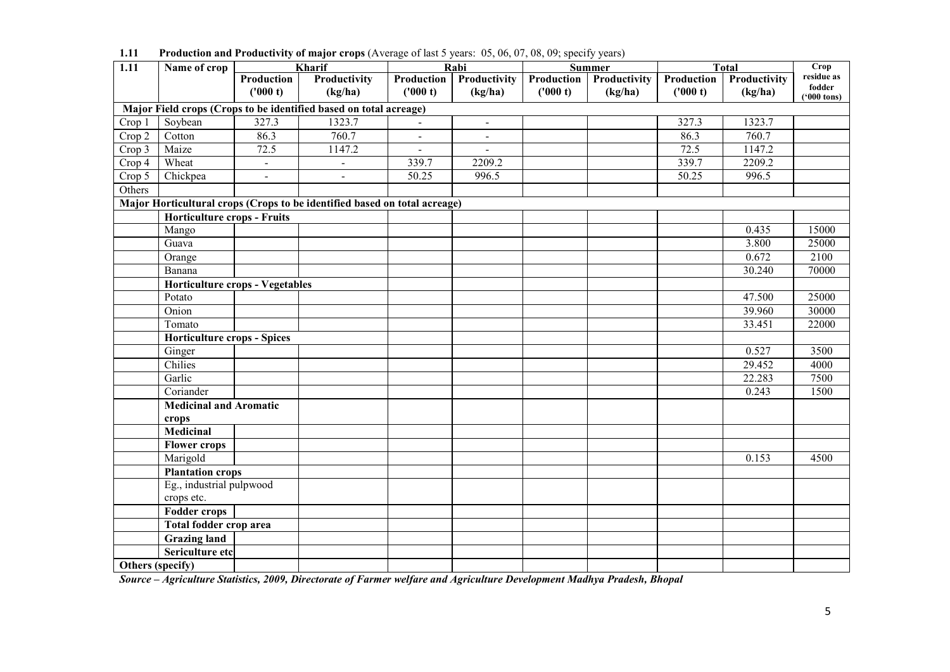| 1.11             | Name of crop                           |                | $\overline{\mathbf{r}}$<br>Kharif                                         | $\overline{\phantom{a}}$ | Rabi                     |            | <u>.</u><br><b>Summer</b> |            | Total               | Crop                 |
|------------------|----------------------------------------|----------------|---------------------------------------------------------------------------|--------------------------|--------------------------|------------|---------------------------|------------|---------------------|----------------------|
|                  |                                        | Production     | Productivity                                                              | Production               | Productivity             | Production | Productivity              | Production | Productivity        | residue as           |
|                  |                                        | ('000 t)       | (kg/ha)                                                                   | ('000 t)                 | (kg/ha)                  | ('000 t)   | (kg/ha)                   | ('000 t)   | (kg/ha)             | fodder               |
|                  |                                        |                | Major Field crops (Crops to be identified based on total acreage)         |                          |                          |            |                           |            |                     | $(900 \text{ tons})$ |
| Crop 1           | Soybean                                | 327.3          | 1323.7                                                                    | $\blacksquare$           | $\blacksquare$           |            |                           | 327.3      | 1323.7              |                      |
| $Crop\ 2$        | Cotton                                 | 86.3           | 760.7                                                                     | $\blacksquare$           | $\overline{\phantom{a}}$ |            |                           | 86.3       | 760.7               |                      |
| Crop 3           | Maize                                  | 72.5           | 1147.2                                                                    |                          |                          |            |                           | 72.5       | 1147.2              |                      |
|                  | Wheat                                  |                |                                                                           | $\blacksquare$<br>339.7  | $\blacksquare$<br>2209.2 |            |                           | 339.7      | $2\overline{209.2}$ |                      |
| Crop 4           |                                        | $\blacksquare$ | $\Box$                                                                    |                          |                          |            |                           |            |                     |                      |
| Crop 5           | Chickpea                               | $\omega$       | $\blacksquare$                                                            | 50.25                    | 996.5                    |            |                           | 50.25      | 996.5               |                      |
| Others           |                                        |                |                                                                           |                          |                          |            |                           |            |                     |                      |
|                  |                                        |                | Major Horticultural crops (Crops to be identified based on total acreage) |                          |                          |            |                           |            |                     |                      |
|                  | <b>Horticulture crops - Fruits</b>     |                |                                                                           |                          |                          |            |                           |            |                     |                      |
|                  | Mango                                  |                |                                                                           |                          |                          |            |                           |            | 0.435               | 15000                |
|                  | Guava                                  |                |                                                                           |                          |                          |            |                           |            | 3.800               | 25000                |
|                  | Orange                                 |                |                                                                           |                          |                          |            |                           |            | 0.672               | 2100                 |
|                  | Banana                                 |                |                                                                           |                          |                          |            |                           |            | 30.240              | 70000                |
|                  | <b>Horticulture crops - Vegetables</b> |                |                                                                           |                          |                          |            |                           |            |                     |                      |
|                  | Potato                                 |                |                                                                           |                          |                          |            |                           |            | 47.500              | 25000                |
|                  | Onion                                  |                |                                                                           |                          |                          |            |                           |            | 39.960              | 30000                |
|                  | Tomato                                 |                |                                                                           |                          |                          |            |                           |            | 33.451              | 22000                |
|                  | <b>Horticulture crops - Spices</b>     |                |                                                                           |                          |                          |            |                           |            |                     |                      |
|                  | Ginger                                 |                |                                                                           |                          |                          |            |                           |            | 0.527               | 3500                 |
|                  | Chilies                                |                |                                                                           |                          |                          |            |                           |            | 29.452              | 4000                 |
|                  | Garlic                                 |                |                                                                           |                          |                          |            |                           |            | 22.283              | 7500                 |
|                  | Coriander                              |                |                                                                           |                          |                          |            |                           |            | 0.243               | 1500                 |
|                  | <b>Medicinal and Aromatic</b>          |                |                                                                           |                          |                          |            |                           |            |                     |                      |
|                  | crops                                  |                |                                                                           |                          |                          |            |                           |            |                     |                      |
|                  | <b>Medicinal</b>                       |                |                                                                           |                          |                          |            |                           |            |                     |                      |
|                  | <b>Flower crops</b>                    |                |                                                                           |                          |                          |            |                           |            |                     |                      |
|                  | Marigold                               |                |                                                                           |                          |                          |            |                           |            | 0.153               | 4500                 |
|                  | <b>Plantation crops</b>                |                |                                                                           |                          |                          |            |                           |            |                     |                      |
|                  | Eg., industrial pulpwood               |                |                                                                           |                          |                          |            |                           |            |                     |                      |
|                  | crops etc.                             |                |                                                                           |                          |                          |            |                           |            |                     |                      |
|                  | <b>Fodder crops</b>                    |                |                                                                           |                          |                          |            |                           |            |                     |                      |
|                  | <b>Total fodder crop area</b>          |                |                                                                           |                          |                          |            |                           |            |                     |                      |
|                  | <b>Grazing land</b>                    |                |                                                                           |                          |                          |            |                           |            |                     |                      |
|                  | Sericulture etc                        |                |                                                                           |                          |                          |            |                           |            |                     |                      |
| Others (specify) |                                        |                |                                                                           |                          |                          |            |                           |            |                     |                      |
|                  |                                        |                |                                                                           |                          |                          |            |                           |            |                     |                      |

1.11 Production and Productivity of major crops (Average of last 5 years: 05, 06, 07, 08, 09; specify years)

Source – Agriculture Statistics, 2009, Directorate of Farmer welfare and Agriculture Development Madhya Pradesh, Bhopal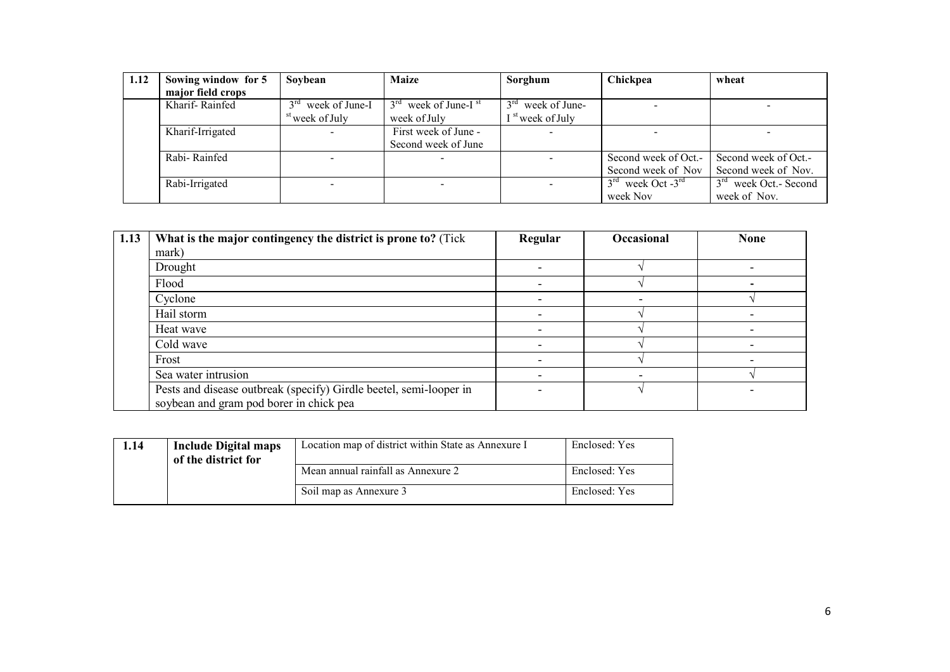| 1.12 | Sowing window for 5 | Soybean                           | <b>Maize</b>                       | Sorghum                          | Chickpea                                  | wheat                              |
|------|---------------------|-----------------------------------|------------------------------------|----------------------------------|-------------------------------------------|------------------------------------|
|      | major field crops   |                                   |                                    |                                  |                                           |                                    |
|      | Kharif-Rainfed      | $3^{\text{rd}}$<br>week of June-I | $3rd$ week of June-I <sup>st</sup> | $3^{\text{rd}}$<br>week of June- |                                           |                                    |
|      |                     | <sup>st</sup> week of July        | week of July                       | <sup>st</sup> week of July       |                                           |                                    |
|      | Kharif-Irrigated    |                                   | First week of June -               |                                  |                                           |                                    |
|      |                     |                                   | Second week of June                |                                  |                                           |                                    |
|      | Rabi-Rainfed        |                                   |                                    |                                  | Second week of Oct.-                      | Second week of Oct.-               |
|      |                     |                                   |                                    |                                  | Second week of Nov                        | Second week of Nov.                |
|      | Rabi-Irrigated      | $\sim$                            |                                    |                                  | $3^{\text{rd}}$ week Oct -3 <sup>rd</sup> | 3 <sup>rd</sup> week Oct. - Second |
|      |                     |                                   |                                    |                                  | week Nov                                  | week of Nov.                       |

| 1.13 | What is the major contingency the district is prone to? (Tick                                                 | Regular | Occasional | <b>None</b> |
|------|---------------------------------------------------------------------------------------------------------------|---------|------------|-------------|
|      | mark)                                                                                                         |         |            |             |
|      | Drought                                                                                                       |         |            |             |
|      | Flood                                                                                                         |         |            |             |
|      | Cyclone                                                                                                       |         |            |             |
|      | Hail storm                                                                                                    |         |            |             |
|      | Heat wave                                                                                                     |         |            |             |
|      | Cold wave                                                                                                     |         |            |             |
|      | Frost                                                                                                         |         |            |             |
|      | Sea water intrusion                                                                                           |         |            |             |
|      | Pests and disease outbreak (specify) Girdle beetel, semi-looper in<br>soybean and gram pod borer in chick pea |         |            |             |

| 1.14 | <b>Include Digital maps</b><br>of the district for | Location map of district within State as Annexure I | Enclosed: Yes |
|------|----------------------------------------------------|-----------------------------------------------------|---------------|
|      |                                                    | Mean annual rainfall as Annexure 2                  | Enclosed: Yes |
|      |                                                    | Soil map as Annexure 3                              | Enclosed: Yes |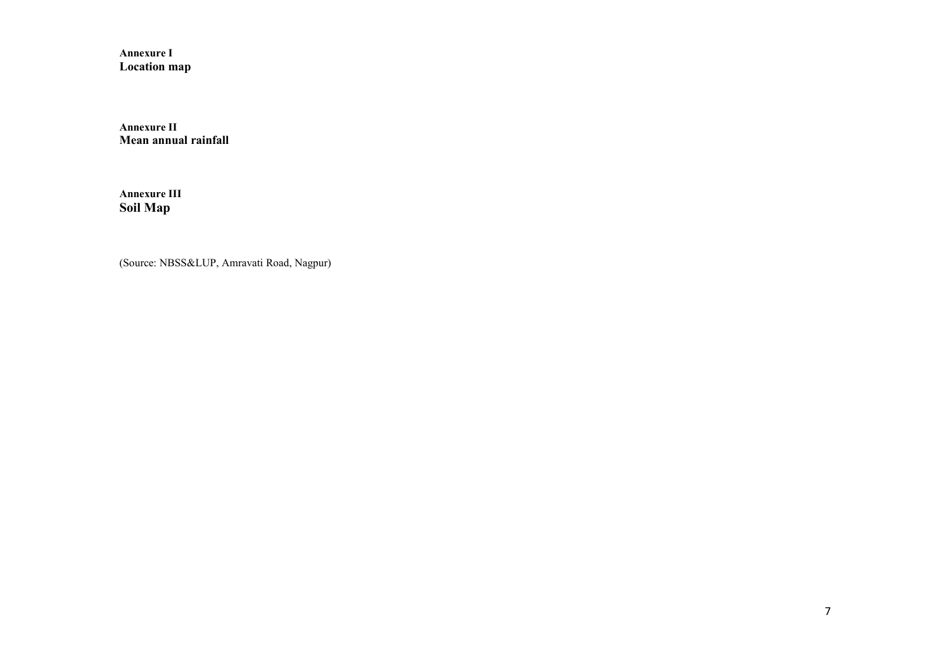Annexure I Location map

Annexure II Mean annual rainfall

Annexure III Soil Map

(Source: NBSS&LUP, Amravati Road, Nagpur)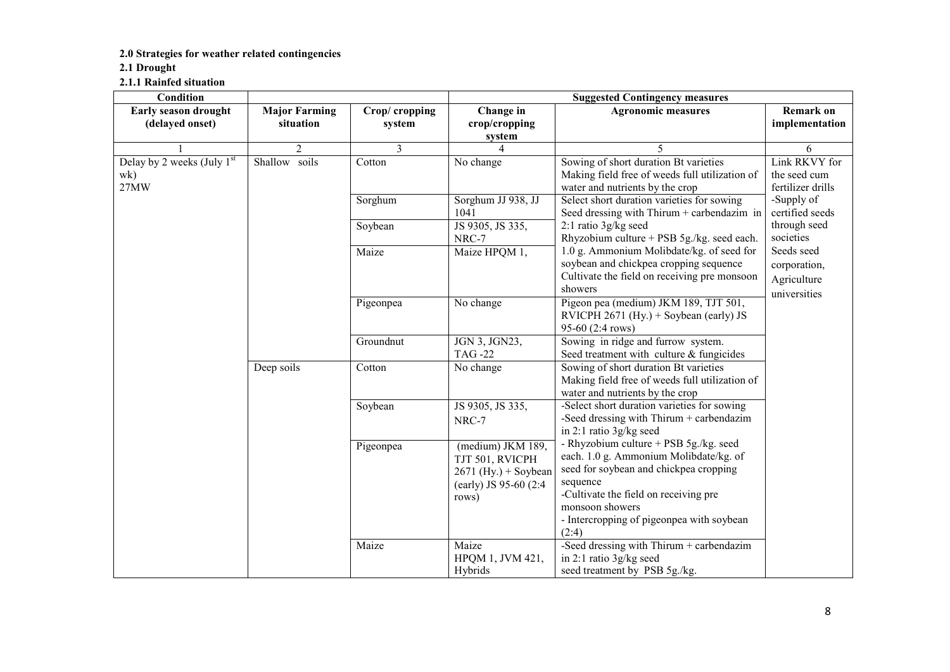#### 2.0 Strategies for weather related contingencies

#### 2.1 Drought

2.1.1 Rainfed situation

| Condition                                   |                                   |                          | <b>Suggested Contingency measures</b>                                                             |                                                                                                                                                                                                                                                          |                                                           |  |  |  |
|---------------------------------------------|-----------------------------------|--------------------------|---------------------------------------------------------------------------------------------------|----------------------------------------------------------------------------------------------------------------------------------------------------------------------------------------------------------------------------------------------------------|-----------------------------------------------------------|--|--|--|
| Early season drought<br>(delayed onset)     | <b>Major Farming</b><br>situation | Crop/cropping<br>system  | Change in<br>crop/cropping<br>system                                                              | <b>Agronomic measures</b>                                                                                                                                                                                                                                | <b>Remark on</b><br>implementation                        |  |  |  |
|                                             | $\overline{2}$                    | $\overline{\mathcal{E}}$ | 4                                                                                                 | 5                                                                                                                                                                                                                                                        | 6                                                         |  |  |  |
| Delay by 2 weeks (July $1st$<br>wk)<br>27MW | soils<br>Shallow                  | Cotton                   | No change                                                                                         | Sowing of short duration Bt varieties<br>Making field free of weeds full utilization of<br>water and nutrients by the crop                                                                                                                               | Link RKVY for<br>the seed cum<br>fertilizer drills        |  |  |  |
|                                             |                                   | Sorghum                  | Sorghum JJ 938, JJ<br>1041                                                                        | Select short duration varieties for sowing<br>Seed dressing with Thirum + carbendazim in                                                                                                                                                                 | -Supply of<br>certified seeds                             |  |  |  |
|                                             |                                   | Soybean                  | JS 9305, JS 335,<br>NRC-7                                                                         | 2:1 ratio 3g/kg seed<br>Rhyzobium culture + PSB $5g$ ./kg. seed each.                                                                                                                                                                                    | through seed<br>societies                                 |  |  |  |
|                                             |                                   | Maize                    | Maize HPQM 1,                                                                                     | 1.0 g. Ammonium Molibdate/kg. of seed for<br>soybean and chickpea cropping sequence<br>Cultivate the field on receiving pre monsoon<br>showers                                                                                                           | Seeds seed<br>corporation,<br>Agriculture<br>universities |  |  |  |
|                                             |                                   | Pigeonpea                | No change                                                                                         | Pigeon pea (medium) JKM 189, TJT 501,<br>RVICPH 2671 (Hy.) + Soybean (early) JS<br>95-60 (2:4 rows)                                                                                                                                                      |                                                           |  |  |  |
|                                             |                                   | Groundnut                | JGN 3, JGN23,<br><b>TAG-22</b>                                                                    | Sowing in ridge and furrow system.<br>Seed treatment with culture & fungicides                                                                                                                                                                           |                                                           |  |  |  |
|                                             | Deep soils                        | Cotton                   | No change                                                                                         | Sowing of short duration Bt varieties<br>Making field free of weeds full utilization of<br>water and nutrients by the crop                                                                                                                               |                                                           |  |  |  |
|                                             |                                   | Soybean                  | JS 9305, JS 335,<br>NRC-7                                                                         | -Select short duration varieties for sowing<br>-Seed dressing with $Thirum + carbendazim$<br>in 2:1 ratio 3g/kg seed                                                                                                                                     |                                                           |  |  |  |
|                                             |                                   | Pigeonpea                | (medium) JKM 189,<br>TJT 501, RVICPH<br>$2671$ (Hy.) + Soybean<br>(early) JS 95-60 (2:4)<br>rows) | - Rhyzobium culture + PSB 5g./kg. seed<br>each. 1.0 g. Ammonium Molibdate/kg. of<br>seed for soybean and chickpea cropping<br>sequence<br>-Cultivate the field on receiving pre<br>monsoon showers<br>- Intercropping of pigeonpea with soybean<br>(2:4) |                                                           |  |  |  |
|                                             |                                   | Maize                    | Maize<br>HPQM 1, JVM 421,<br>Hybrids                                                              | -Seed dressing with Thirum + carbendazim<br>in 2:1 ratio 3g/kg seed<br>seed treatment by PSB 5g./kg.                                                                                                                                                     |                                                           |  |  |  |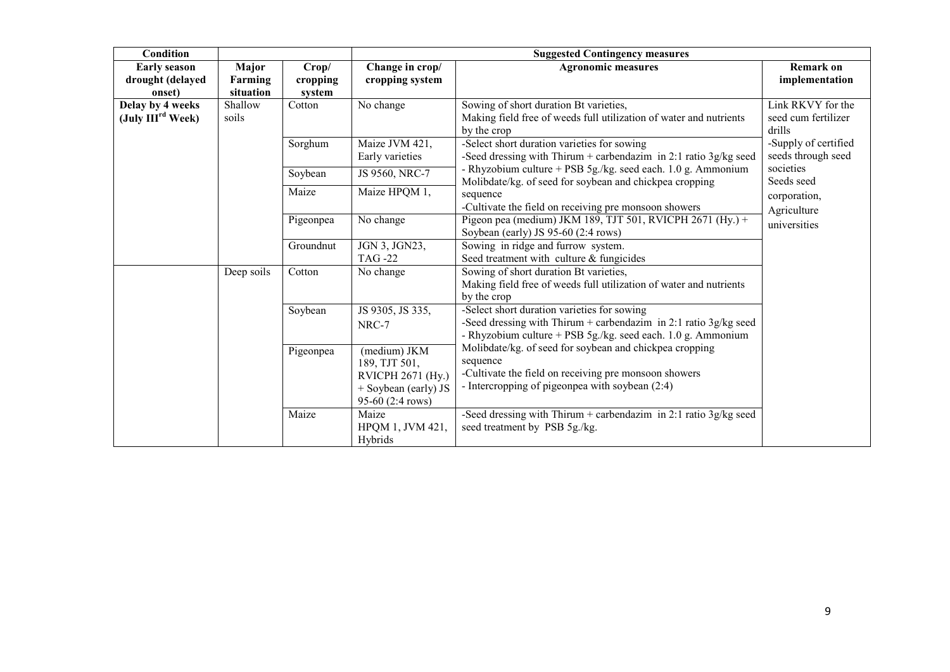| Condition                                |                  |                                            |                                                                 | <b>Suggested Contingency measures</b>                                                                                                                                                                                                                                                                                                                              |                                                    |  |  |  |
|------------------------------------------|------------------|--------------------------------------------|-----------------------------------------------------------------|--------------------------------------------------------------------------------------------------------------------------------------------------------------------------------------------------------------------------------------------------------------------------------------------------------------------------------------------------------------------|----------------------------------------------------|--|--|--|
| <b>Early season</b>                      | Major            | Crop/                                      | Change in crop/                                                 | <b>Agronomic measures</b>                                                                                                                                                                                                                                                                                                                                          | Remark on                                          |  |  |  |
| drought (delayed                         | Farming          | cropping                                   | cropping system                                                 |                                                                                                                                                                                                                                                                                                                                                                    | implementation                                     |  |  |  |
| onset)                                   | situation        | system                                     |                                                                 |                                                                                                                                                                                                                                                                                                                                                                    |                                                    |  |  |  |
| Delay by 4 weeks<br>(July $IIIrd Week$ ) | Shallow<br>soils | Cotton                                     | No change                                                       | Sowing of short duration Bt varieties,<br>Making field free of weeds full utilization of water and nutrients<br>by the crop                                                                                                                                                                                                                                        | Link RKVY for the<br>seed cum fertilizer<br>drills |  |  |  |
|                                          |                  | Sorghum                                    | Maize JVM 421,<br>Early varieties                               | -Select short duration varieties for sowing<br>-Seed dressing with Thirum + carbendazim in 2:1 ratio $3g/kg$ seed                                                                                                                                                                                                                                                  | -Supply of certified<br>seeds through seed         |  |  |  |
|                                          |                  | Soybean                                    | JS 9560, NRC-7                                                  | - Rhyzobium culture + PSB 5g./kg. seed each. 1.0 g. Ammonium<br>Molibdate/kg. of seed for soybean and chickpea cropping                                                                                                                                                                                                                                            | societies<br>Seeds seed                            |  |  |  |
|                                          |                  | Maize                                      | Maize HPQM 1,                                                   | sequence<br>-Cultivate the field on receiving pre monsoon showers                                                                                                                                                                                                                                                                                                  | corporation,<br>Agriculture                        |  |  |  |
|                                          |                  | Pigeonpea                                  | No change                                                       | Pigeon pea (medium) JKM 189, TJT 501, RVICPH 2671 (Hy.) +<br>Soybean (early) JS 95-60 (2:4 rows)                                                                                                                                                                                                                                                                   | universities                                       |  |  |  |
|                                          |                  | Groundnut                                  | JGN 3, JGN23,<br><b>TAG -22</b>                                 | Sowing in ridge and furrow system.<br>Seed treatment with culture & fungicides                                                                                                                                                                                                                                                                                     |                                                    |  |  |  |
|                                          | Deep soils       | Cotton                                     | No change                                                       | Sowing of short duration Bt varieties,<br>Making field free of weeds full utilization of water and nutrients<br>by the crop                                                                                                                                                                                                                                        |                                                    |  |  |  |
|                                          |                  | Soybean                                    | JS 9305, JS 335,<br>NRC-7                                       | -Select short duration varieties for sowing<br>-Seed dressing with Thirum + carbendazim in 2:1 ratio 3g/kg seed<br>- Rhyzobium culture + PSB 5g./kg. seed each. 1.0 g. Ammonium<br>Molibdate/kg. of seed for soybean and chickpea cropping<br>sequence<br>-Cultivate the field on receiving pre monsoon showers<br>- Intercropping of pigeonpea with soybean (2:4) |                                                    |  |  |  |
|                                          |                  | (medium) JKM<br>Pigeonpea<br>189, TJT 501, | RVICPH 2671 (Hy.)<br>$+$ Soybean (early) JS<br>95-60 (2:4 rows) |                                                                                                                                                                                                                                                                                                                                                                    |                                                    |  |  |  |
|                                          |                  | Maize                                      | Maize<br>HPQM 1, JVM 421,<br>Hybrids                            | -Seed dressing with Thirum + carbendazim in 2:1 ratio $3g/kg$ seed<br>seed treatment by PSB 5g./kg.                                                                                                                                                                                                                                                                |                                                    |  |  |  |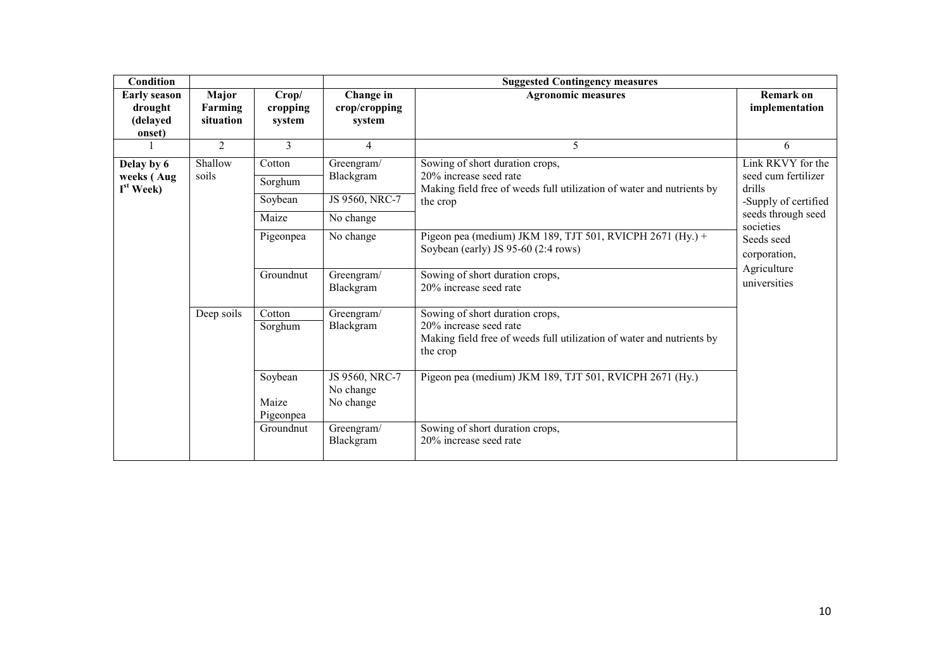| <b>Condition</b>                                     |                               |                               |                                          | <b>Suggested Contingency measures</b>                                                                                                          |                                                    |
|------------------------------------------------------|-------------------------------|-------------------------------|------------------------------------------|------------------------------------------------------------------------------------------------------------------------------------------------|----------------------------------------------------|
| <b>Early season</b><br>drought<br>(delayed<br>onset) | Major<br>Farming<br>situation | Crop/<br>cropping<br>system   | Change in<br>crop/cropping<br>system     | <b>Agronomic measures</b>                                                                                                                      | <b>Remark on</b><br>implementation                 |
|                                                      | $\overline{2}$                | 3                             | 4                                        | 5                                                                                                                                              | 6                                                  |
| Delay by 6<br>weeks (Aug<br>$I^{st}$ Week)           | Shallow<br>soils              | Cotton<br>Sorghum             | Greengram/<br>Blackgram                  | Sowing of short duration crops,<br>20% increase seed rate<br>Making field free of weeds full utilization of water and nutrients by             | Link RKVY for the<br>seed cum fertilizer<br>drills |
|                                                      |                               | Soybean                       | JS 9560, NRC-7                           | the crop                                                                                                                                       | -Supply of certified                               |
|                                                      |                               | Maize                         | No change                                |                                                                                                                                                | seeds through seed<br>societies                    |
|                                                      |                               | Pigeonpea                     | No change                                | Pigeon pea (medium) JKM 189, $\overline{TJT 501}$ , RVICPH 2671 (Hy.) +<br>Soybean (early) JS 95-60 (2:4 rows)                                 | Seeds seed<br>corporation,                         |
|                                                      |                               | Groundnut                     | Greengram/<br>Blackgram                  | Sowing of short duration crops,<br>20% increase seed rate                                                                                      | Agriculture<br>universities                        |
|                                                      | Deep soils                    | Cotton<br>Sorghum             | Greengram/<br>Blackgram                  | Sowing of short duration crops,<br>20% increase seed rate<br>Making field free of weeds full utilization of water and nutrients by<br>the crop |                                                    |
|                                                      |                               | Soybean<br>Maize<br>Pigeonpea | JS 9560, NRC-7<br>No change<br>No change | Pigeon pea (medium) JKM 189, TJT 501, RVICPH 2671 (Hy.)                                                                                        |                                                    |
|                                                      |                               | Groundnut                     | Greengram/<br>Blackgram                  | Sowing of short duration crops,<br>20% increase seed rate                                                                                      |                                                    |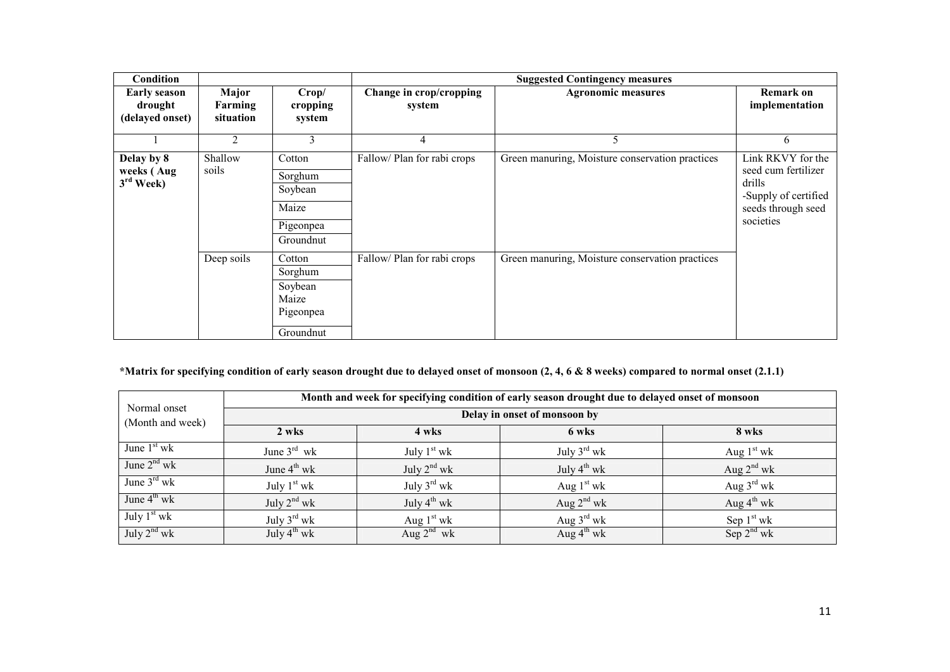| <b>Condition</b>                                  |                               |                                                                 |                                   | <b>Suggested Contingency measures</b>           |                                                                                                               |
|---------------------------------------------------|-------------------------------|-----------------------------------------------------------------|-----------------------------------|-------------------------------------------------|---------------------------------------------------------------------------------------------------------------|
| <b>Early season</b><br>drought<br>(delayed onset) | Major<br>Farming<br>situation | Crop/<br>cropping<br>system                                     | Change in crop/cropping<br>system | <b>Agronomic measures</b>                       | <b>Remark on</b><br>implementation                                                                            |
|                                                   | 2                             | 3                                                               | 4                                 | 5                                               | 6                                                                                                             |
| Delay by 8<br>weeks (Aug<br>$3rd$ Week)           | Shallow<br>soils              | Cotton<br>Sorghum<br>Soybean<br>Maize<br>Pigeonpea<br>Groundnut | Fallow/Plan for rabi crops        | Green manuring, Moisture conservation practices | Link RKVY for the<br>seed cum fertilizer<br>drills<br>-Supply of certified<br>seeds through seed<br>societies |
|                                                   | Deep soils                    | Cotton<br>Sorghum<br>Soybean<br>Maize<br>Pigeonpea<br>Groundnut | Fallow/Plan for rabi crops        | Green manuring, Moisture conservation practices |                                                                                                               |

#### \*Matrix for specifying condition of early season drought due to delayed onset of monsoon (2, 4, 6 & 8 weeks) compared to normal onset (2.1.1)

| Normal onset<br>(Month and week) | Month and week for specifying condition of early season drought due to delayed onset of monsoon |                         |                         |                        |  |  |  |  |  |
|----------------------------------|-------------------------------------------------------------------------------------------------|-------------------------|-------------------------|------------------------|--|--|--|--|--|
|                                  | Delay in onset of monsoon by                                                                    |                         |                         |                        |  |  |  |  |  |
|                                  | 2 wks                                                                                           | 4 wks                   | 6 wks                   | 8 wks                  |  |  |  |  |  |
| June $1st$ wk                    | June $3^{\text{rd}}$ wk                                                                         | July $1st$ wk           | July $3^{\text{rd}}$ wk | Aug $1st$ wk           |  |  |  |  |  |
| June $2nd$ wk                    | June $4^{\text{th}}$ wk                                                                         | July $2^{nd}$ wk        | July $4^{th}$ wk        | Aug $2^{nd}$ wk        |  |  |  |  |  |
| June $3^{\text{rd}}$ wk          | July $1st$ wk                                                                                   | July $3^{\text{rd}}$ wk | Aug $1st$ wk            | Aug $3^{\text{rd}}$ wk |  |  |  |  |  |
| June $4^{th}$ wk                 | July $2^{nd}$ wk                                                                                | July $4^{th}$ wk        | Aug $2^{nd}$ wk         | Aug $4^{\text{th}}$ wk |  |  |  |  |  |
| July $1st$ wk                    | July $3^{\text{rd}}$ wk                                                                         | Aug $1st$ wk            | Aug $3^{\text{rd}}$ wk  | Sep $1st$ wk           |  |  |  |  |  |
| July $2^{nd}$ wk                 | July $4^{th}$ wk                                                                                | Aug $2^{nd}$ wk         | Aug $4^{\text{th}}$ wk  | Sep $2^{nd}$ wk        |  |  |  |  |  |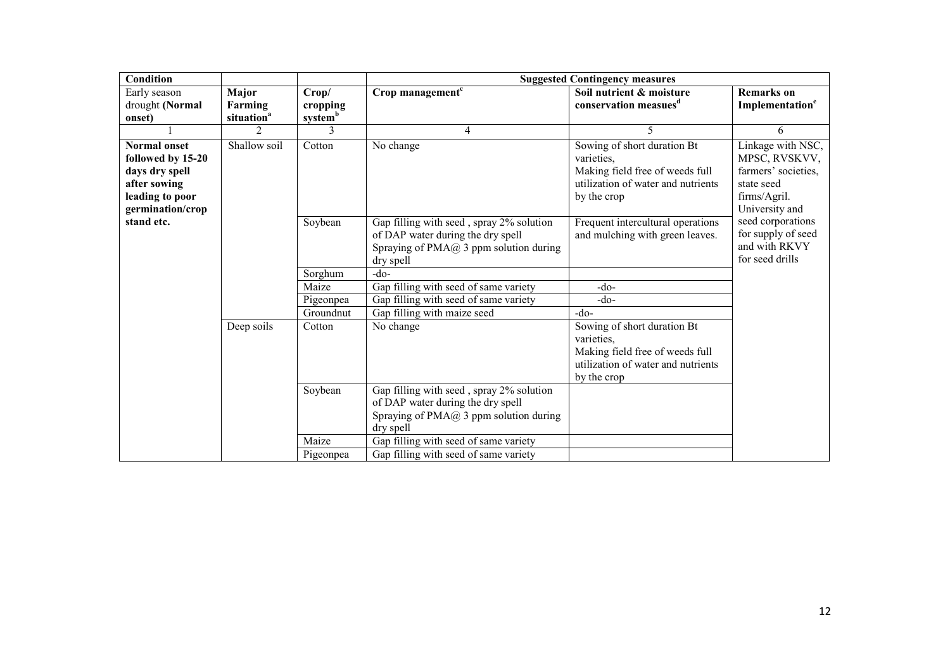| Condition           |                        |                                 |                                          | <b>Suggested Contingency measures</b> |                             |
|---------------------|------------------------|---------------------------------|------------------------------------------|---------------------------------------|-----------------------------|
| Early season        | <b>Major</b>           | Crop/                           | Crop management <sup>c</sup>             | Soil nutrient & moisture              | <b>Remarks</b> on           |
| drought (Normal     | Farming                | cropping<br>system <sup>b</sup> |                                          | conservation measues <sup>d</sup>     | Implementation <sup>e</sup> |
| onset)              | situation <sup>a</sup> |                                 |                                          |                                       |                             |
|                     | $\mathfrak{D}$         | 3                               | $\overline{4}$                           | 5.                                    | 6                           |
| <b>Normal onset</b> | Shallow soil           | Cotton                          | No change                                | Sowing of short duration Bt           | Linkage with NSC,           |
| followed by 15-20   |                        |                                 |                                          | varieties,                            | MPSC, RVSKVV,               |
| days dry spell      |                        |                                 |                                          | Making field free of weeds full       | farmers' societies,         |
| after sowing        |                        |                                 |                                          | utilization of water and nutrients    | state seed                  |
| leading to poor     |                        |                                 |                                          | by the crop                           | firms/Agril.                |
| germination/crop    |                        |                                 |                                          |                                       | University and              |
| stand etc.          |                        | Soybean                         | Gap filling with seed, spray 2% solution | Frequent intercultural operations     | seed corporations           |
|                     |                        |                                 | of DAP water during the dry spell        | and mulching with green leaves.       | for supply of seed          |
|                     |                        |                                 | Spraying of $PMA@$ 3 ppm solution during |                                       | and with RKVY               |
|                     |                        |                                 | dry spell                                |                                       | for seed drills             |
|                     |                        | Sorghum                         | -do-                                     |                                       |                             |
|                     |                        | Maize                           | Gap filling with seed of same variety    | $-do-$                                |                             |
|                     |                        | Pigeonpea                       | Gap filling with seed of same variety    | -do-                                  |                             |
|                     |                        | Groundnut                       | Gap filling with maize seed              | $-do-$                                |                             |
|                     | Deep soils             | Cotton                          | No change                                | Sowing of short duration Bt           |                             |
|                     |                        |                                 |                                          | varieties,                            |                             |
|                     |                        |                                 |                                          | Making field free of weeds full       |                             |
|                     |                        |                                 |                                          | utilization of water and nutrients    |                             |
|                     |                        |                                 |                                          | by the crop                           |                             |
|                     |                        | Soybean                         | Gap filling with seed, spray 2% solution |                                       |                             |
|                     |                        |                                 | of DAP water during the dry spell        |                                       |                             |
|                     |                        |                                 | Spraying of $PMA@3$ ppm solution during  |                                       |                             |
|                     |                        |                                 | dry spell                                |                                       |                             |
|                     |                        | Maize                           | Gap filling with seed of same variety    |                                       |                             |
|                     |                        | Pigeonpea                       | Gap filling with seed of same variety    |                                       |                             |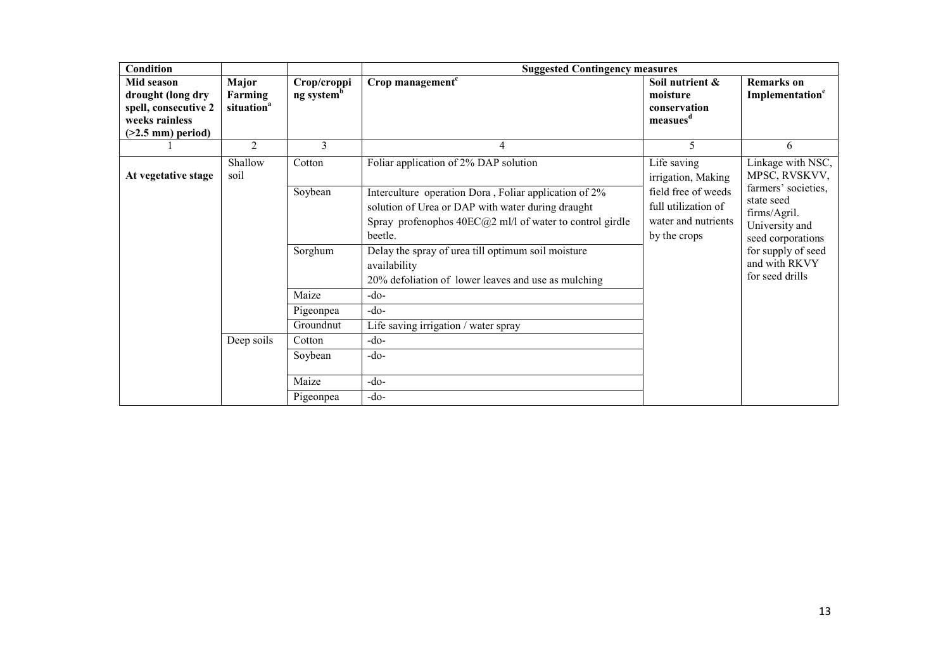| <b>Condition</b>                                                                                 |                                            |                                       | <b>Suggested Contingency measures</b>                                                                                                                                                                                                       |                                                                                   |                                                                                                                |
|--------------------------------------------------------------------------------------------------|--------------------------------------------|---------------------------------------|---------------------------------------------------------------------------------------------------------------------------------------------------------------------------------------------------------------------------------------------|-----------------------------------------------------------------------------------|----------------------------------------------------------------------------------------------------------------|
| Mid season<br>drought (long dry<br>spell, consecutive 2<br>weeks rainless<br>$(>2.5$ mm) period) | Major<br>Farming<br>situation <sup>a</sup> | Crop/croppi<br>ng system <sup>b</sup> | Crop management <sup>c</sup>                                                                                                                                                                                                                | Soil nutrient &<br>moisture<br>conservation<br>measues <sup>d</sup>               | <b>Remarks</b> on<br>Implementation <sup>e</sup>                                                               |
|                                                                                                  | $\mathfrak{D}$                             | 3                                     | 4                                                                                                                                                                                                                                           | 5                                                                                 | 6                                                                                                              |
| At vegetative stage                                                                              | Shallow<br>soil                            | Cotton                                | Foliar application of 2% DAP solution                                                                                                                                                                                                       | Life saving<br>irrigation, Making                                                 | Linkage with NSC,<br>MPSC, RVSKVV,                                                                             |
|                                                                                                  |                                            | Soybean<br>Sorghum                    | Interculture operation Dora, Foliar application of 2%<br>solution of Urea or DAP with water during draught<br>Spray profenophos $40EC(a)2$ ml/l of water to control girdle<br>beetle.<br>Delay the spray of urea till optimum soil moisture | field free of weeds<br>full utilization of<br>water and nutrients<br>by the crops | farmers' societies,<br>state seed<br>firms/Agril.<br>University and<br>seed corporations<br>for supply of seed |
|                                                                                                  |                                            |                                       | availability<br>20% defoliation of lower leaves and use as mulching                                                                                                                                                                         |                                                                                   | and with RKVY<br>for seed drills                                                                               |
|                                                                                                  |                                            | Maize                                 | $-do-$                                                                                                                                                                                                                                      |                                                                                   |                                                                                                                |
|                                                                                                  |                                            | Pigeonpea                             | -do-                                                                                                                                                                                                                                        |                                                                                   |                                                                                                                |
|                                                                                                  |                                            | Groundnut                             | Life saving irrigation / water spray                                                                                                                                                                                                        |                                                                                   |                                                                                                                |
|                                                                                                  | Deep soils                                 | Cotton                                | $-do-$                                                                                                                                                                                                                                      |                                                                                   |                                                                                                                |
|                                                                                                  |                                            | Soybean                               | $-do-$                                                                                                                                                                                                                                      |                                                                                   |                                                                                                                |
|                                                                                                  |                                            | Maize                                 | $-do-$                                                                                                                                                                                                                                      |                                                                                   |                                                                                                                |
|                                                                                                  |                                            | Pigeonpea                             | $-do-$                                                                                                                                                                                                                                      |                                                                                   |                                                                                                                |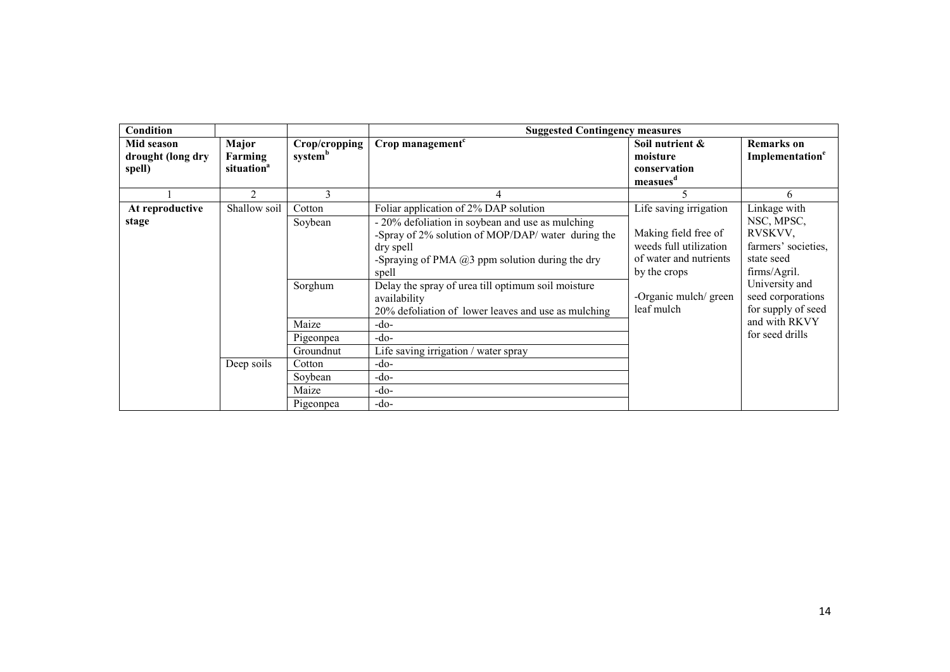| Condition                                 |                                                                                                                                                                                                                                 |                                         | <b>Suggested Contingency measures</b>                                                                                                                                                                                         |                                                                                                                    |                                                                                            |
|-------------------------------------------|---------------------------------------------------------------------------------------------------------------------------------------------------------------------------------------------------------------------------------|-----------------------------------------|-------------------------------------------------------------------------------------------------------------------------------------------------------------------------------------------------------------------------------|--------------------------------------------------------------------------------------------------------------------|--------------------------------------------------------------------------------------------|
| Mid season<br>drought (long dry<br>spell) | Major<br>Farming<br>situation <sup>a</sup>                                                                                                                                                                                      | Crop/cropping<br>system <sup>b</sup>    | Crop management <sup>c</sup>                                                                                                                                                                                                  | Soil nutrient &<br>moisture<br>conservation<br>measues <sup>d</sup>                                                | <b>Remarks</b> on<br>Implementation <sup>e</sup>                                           |
|                                           | $\overline{2}$                                                                                                                                                                                                                  | 3                                       | 4                                                                                                                                                                                                                             |                                                                                                                    | 6                                                                                          |
| At reproductive<br>stage                  | Shallow soil                                                                                                                                                                                                                    | Cotton<br>Soybean                       | Foliar application of 2% DAP solution<br>- 20% defoliation in soybean and use as mulching<br>-Spray of 2% solution of MOP/DAP/ water during the<br>dry spell<br>-Spraying of PMA $(a)$ 3 ppm solution during the dry<br>spell | Life saving irrigation<br>Making field free of<br>weeds full utilization<br>of water and nutrients<br>by the crops | Linkage with<br>NSC, MPSC,<br>RVSKVV,<br>farmers' societies,<br>state seed<br>firms/Agril. |
|                                           | Delay the spray of urea till optimum soil moisture<br>Sorghum<br>availability<br>20% defoliation of lower leaves and use as mulching<br>Maize<br>-do-<br>-do-<br>Pigeonpea<br>Groundnut<br>Life saving irrigation / water spray | -Organic mulch/ green<br>leaf mulch     | University and<br>seed corporations<br>for supply of seed<br>and with RKVY<br>for seed drills                                                                                                                                 |                                                                                                                    |                                                                                            |
|                                           | Deep soils                                                                                                                                                                                                                      | Cotton<br>Soybean<br>Maize<br>Pigeonpea | $-do-$<br>-do-<br>-do-<br>-do-                                                                                                                                                                                                |                                                                                                                    |                                                                                            |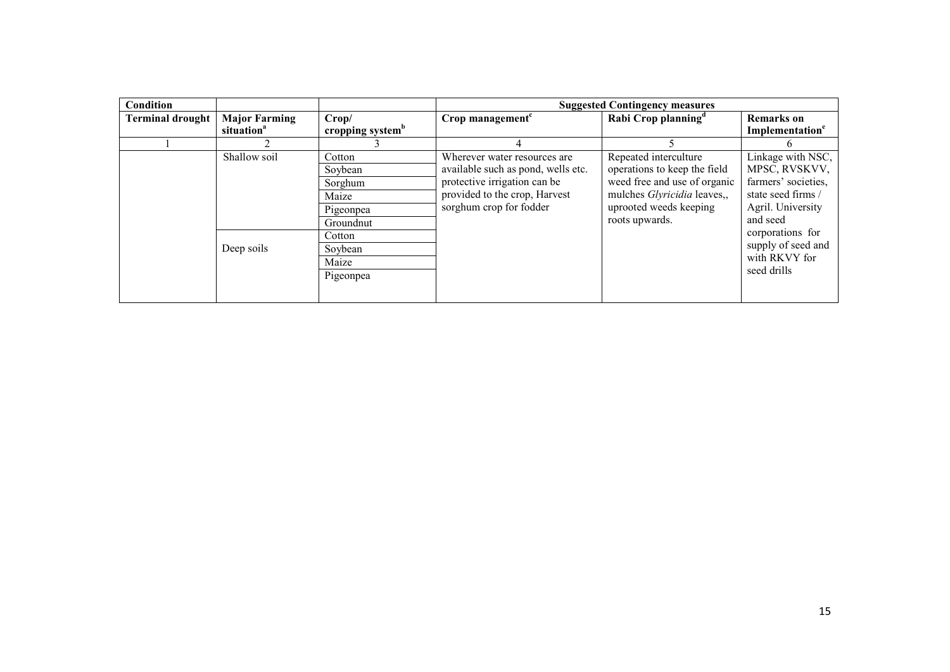| <b>Condition</b>        |                                                |                                                                                                            |                                                                                                                                                                 | <b>Suggested Contingency measures</b>                                                                                                                                   |                                                                                                                                                                                            |
|-------------------------|------------------------------------------------|------------------------------------------------------------------------------------------------------------|-----------------------------------------------------------------------------------------------------------------------------------------------------------------|-------------------------------------------------------------------------------------------------------------------------------------------------------------------------|--------------------------------------------------------------------------------------------------------------------------------------------------------------------------------------------|
| <b>Terminal drought</b> | <b>Major Farming</b><br>situation <sup>a</sup> | Crop/<br>cropping system <sup>b</sup>                                                                      | Crop management <sup>c</sup>                                                                                                                                    | Rabi Crop planning <sup>d</sup>                                                                                                                                         | <b>Remarks</b> on<br>Implementation <sup>e</sup>                                                                                                                                           |
|                         |                                                |                                                                                                            |                                                                                                                                                                 |                                                                                                                                                                         |                                                                                                                                                                                            |
|                         | Shallow soil<br>Deep soils                     | Cotton<br>Soybean<br>Sorghum<br>Maize<br>Pigeonpea<br>Groundnut<br>Cotton<br>Soybean<br>Maize<br>Pigeonpea | Wherever water resources are.<br>available such as pond, wells etc.<br>protective irrigation can be<br>provided to the crop, Harvest<br>sorghum crop for fodder | Repeated interculture<br>operations to keep the field<br>weed free and use of organic<br>mulches <i>Glyricidia</i> leaves,,<br>uprooted weeds keeping<br>roots upwards. | Linkage with NSC,<br>MPSC, RVSKVV,<br>farmers' societies,<br>state seed firms /<br>Agril. University<br>and seed<br>corporations for<br>supply of seed and<br>with RKVY for<br>seed drills |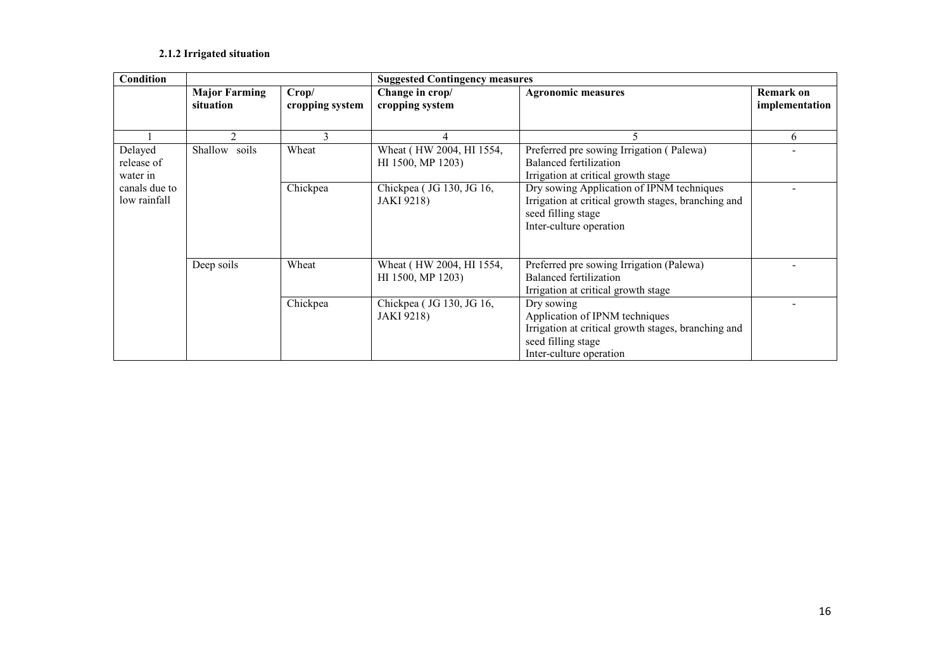#### 2.1.2 Irrigated situation

| <b>Condition</b>                  | <b>Suggested Contingency measures</b> |                          |                                               |                                                                                                                                                      |                                    |
|-----------------------------------|---------------------------------------|--------------------------|-----------------------------------------------|------------------------------------------------------------------------------------------------------------------------------------------------------|------------------------------------|
|                                   | <b>Major Farming</b><br>situation     | Crop/<br>cropping system | Change in crop/<br>cropping system            | <b>Agronomic measures</b>                                                                                                                            | <b>Remark on</b><br>implementation |
|                                   | $\mathfrak{D}$                        | 3                        | 4                                             | 5                                                                                                                                                    | 6                                  |
| Delayed<br>release of<br>water in | Shallow<br>soils                      | Wheat                    | Wheat (HW 2004, HI 1554,<br>HI 1500, MP 1203) | Preferred pre sowing Irrigation (Palewa)<br>Balanced fertilization<br>Irrigation at critical growth stage                                            |                                    |
| canals due to<br>low rainfall     |                                       | Chickpea                 | Chickpea (JG 130, JG 16,<br><b>JAKI</b> 9218) | Dry sowing Application of IPNM techniques<br>Irrigation at critical growth stages, branching and<br>seed filling stage<br>Inter-culture operation    |                                    |
|                                   | Deep soils                            | Wheat                    | Wheat (HW 2004, HI 1554,<br>HI 1500, MP 1203) | Preferred pre sowing Irrigation (Palewa)<br><b>Balanced fertilization</b><br>Irrigation at critical growth stage                                     |                                    |
|                                   |                                       | Chickpea                 | Chickpea (JG 130, JG 16,<br><b>JAKI</b> 9218) | Dry sowing<br>Application of IPNM techniques<br>Irrigation at critical growth stages, branching and<br>seed filling stage<br>Inter-culture operation |                                    |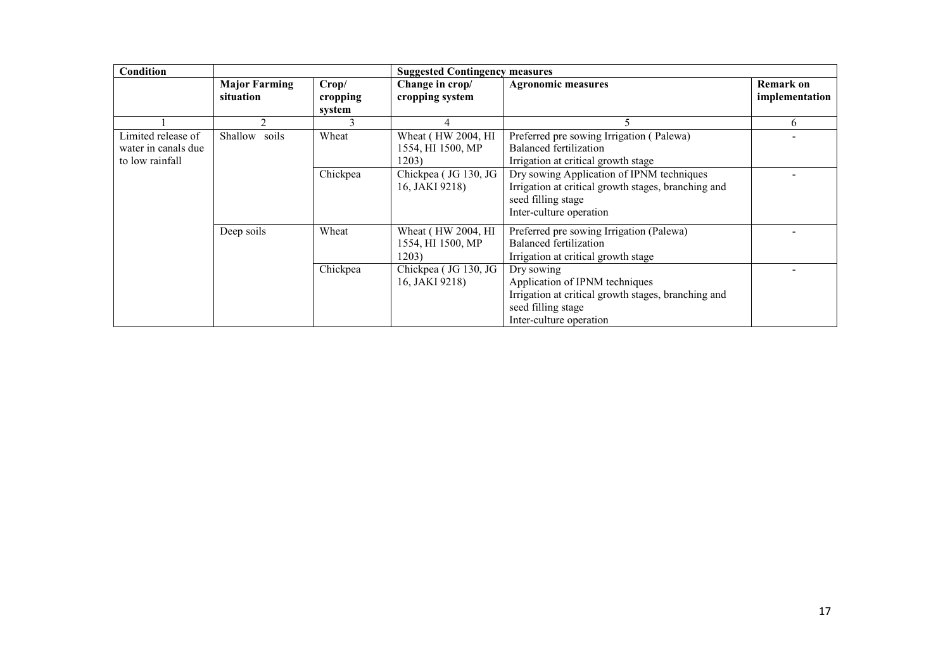| Condition           | <b>Suggested Contingency measures</b> |                   |                                                   |                                                                                                                                                      |                                    |
|---------------------|---------------------------------------|-------------------|---------------------------------------------------|------------------------------------------------------------------------------------------------------------------------------------------------------|------------------------------------|
|                     | <b>Major Farming</b><br>situation     | Crop/<br>cropping | Change in crop/<br>cropping system                | <b>Agronomic measures</b>                                                                                                                            | <b>Remark on</b><br>implementation |
|                     |                                       | system            |                                                   |                                                                                                                                                      |                                    |
|                     | $\mathfrak{D}$                        |                   | 4                                                 |                                                                                                                                                      | 6                                  |
| Limited release of  | Shallow soils                         | Wheat             | Wheat (HW 2004, HI                                | Preferred pre sowing Irrigation (Palewa)                                                                                                             |                                    |
| water in canals due |                                       |                   | 1554, HI 1500, MP                                 | <b>Balanced fertilization</b>                                                                                                                        |                                    |
| to low rainfall     |                                       |                   | 1203)                                             | Irrigation at critical growth stage                                                                                                                  |                                    |
|                     |                                       | Chickpea          | Chickpea (JG 130, JG<br>16, JAKI 9218)            | Dry sowing Application of IPNM techniques<br>Irrigation at critical growth stages, branching and<br>seed filling stage<br>Inter-culture operation    |                                    |
|                     | Deep soils                            | Wheat             | Wheat (HW 2004, HI)<br>1554, HI 1500, MP<br>1203) | Preferred pre sowing Irrigation (Palewa)<br>Balanced fertilization<br>Irrigation at critical growth stage                                            |                                    |
|                     |                                       | Chickpea          | Chickpea (JG 130, JG<br>16, JAKI 9218)            | Dry sowing<br>Application of IPNM techniques<br>Irrigation at critical growth stages, branching and<br>seed filling stage<br>Inter-culture operation |                                    |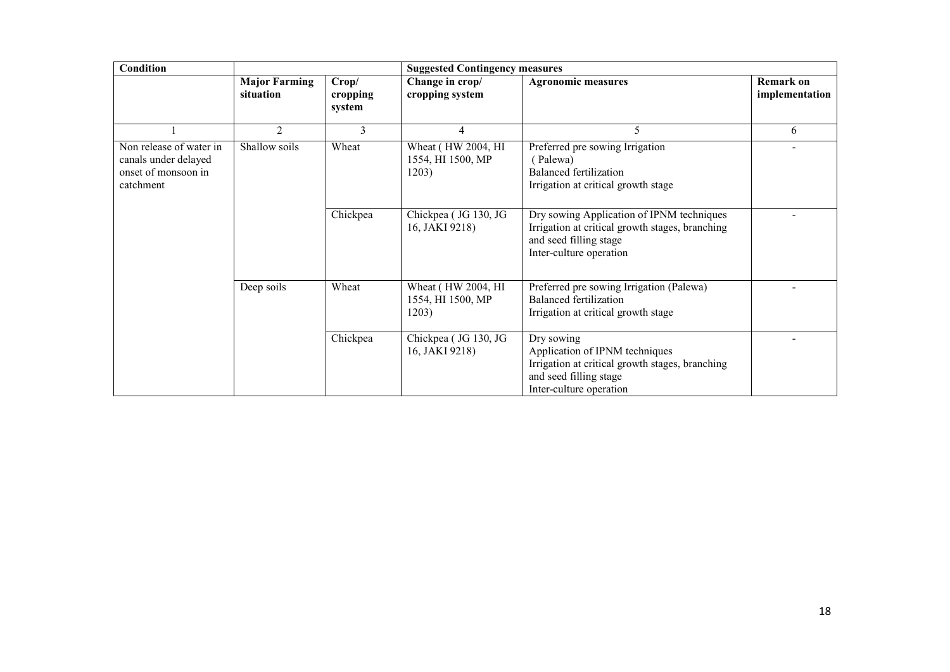| <b>Condition</b>                                                                    |                                   | <b>Suggested Contingency measures</b> |                                                  |                                                                                                                                                      |                             |  |
|-------------------------------------------------------------------------------------|-----------------------------------|---------------------------------------|--------------------------------------------------|------------------------------------------------------------------------------------------------------------------------------------------------------|-----------------------------|--|
|                                                                                     | <b>Major Farming</b><br>situation | Crop/<br>cropping<br>system           | Change in crop/<br>cropping system               | <b>Agronomic measures</b>                                                                                                                            | Remark on<br>implementation |  |
|                                                                                     | 2                                 | 3                                     | $\overline{4}$                                   | 5                                                                                                                                                    | 6                           |  |
| Non release of water in<br>canals under delayed<br>onset of monsoon in<br>catchment | Shallow soils                     | Wheat                                 | Wheat (HW 2004, HI<br>1554, HI 1500, MP<br>1203) | Preferred pre sowing Irrigation<br>(Palewa)<br>Balanced fertilization<br>Irrigation at critical growth stage                                         |                             |  |
|                                                                                     |                                   | Chickpea                              | Chickpea (JG 130, JG<br>16, JAKI 9218)           | Dry sowing Application of IPNM techniques<br>Irrigation at critical growth stages, branching<br>and seed filling stage<br>Inter-culture operation    |                             |  |
|                                                                                     | Deep soils                        | Wheat                                 | Wheat (HW 2004, HI<br>1554, HI 1500, MP<br>1203) | Preferred pre sowing Irrigation (Palewa)<br><b>Balanced fertilization</b><br>Irrigation at critical growth stage                                     |                             |  |
|                                                                                     |                                   | Chickpea                              | Chickpea (JG 130, JG<br>16, JAKI 9218)           | Dry sowing<br>Application of IPNM techniques<br>Irrigation at critical growth stages, branching<br>and seed filling stage<br>Inter-culture operation |                             |  |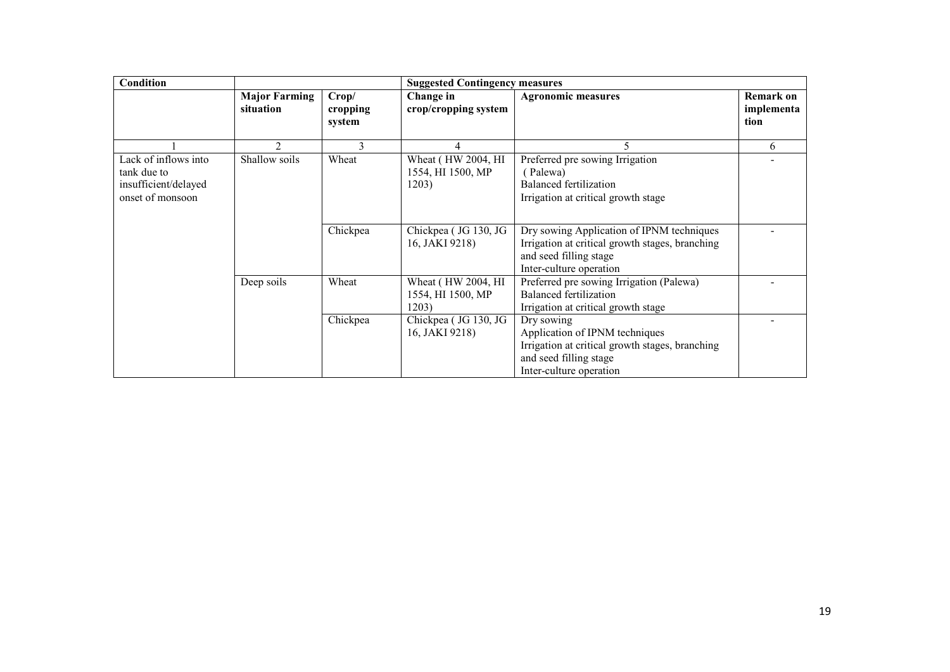| <b>Condition</b>                                                                |                                   |                             | <b>Suggested Contingency measures</b>            |                                                                                                                                                      |                                        |  |
|---------------------------------------------------------------------------------|-----------------------------------|-----------------------------|--------------------------------------------------|------------------------------------------------------------------------------------------------------------------------------------------------------|----------------------------------------|--|
|                                                                                 | <b>Major Farming</b><br>situation | Crop/<br>cropping<br>system | Change in<br>crop/cropping system                | <b>Agronomic measures</b>                                                                                                                            | <b>Remark on</b><br>implementa<br>tion |  |
|                                                                                 |                                   |                             |                                                  |                                                                                                                                                      | 6                                      |  |
| Lack of inflows into<br>tank due to<br>insufficient/delayed<br>onset of monsoon | Shallow soils                     | Wheat                       | Wheat (HW 2004, HI<br>1554, HI 1500, MP<br>1203) | Preferred pre sowing Irrigation<br>(Palewa)<br>Balanced fertilization<br>Irrigation at critical growth stage                                         |                                        |  |
|                                                                                 |                                   | Chickpea                    | Chickpea (JG 130, JG<br>16, JAKI 9218)           | Dry sowing Application of IPNM techniques<br>Irrigation at critical growth stages, branching<br>and seed filling stage<br>Inter-culture operation    |                                        |  |
|                                                                                 | Deep soils                        | Wheat                       | Wheat (HW 2004, HI<br>1554, HI 1500, MP<br>1203) | Preferred pre sowing Irrigation (Palewa)<br>Balanced fertilization<br>Irrigation at critical growth stage                                            |                                        |  |
|                                                                                 |                                   | Chickpea                    | Chickpea (JG 130, JG<br>16, JAKI 9218)           | Dry sowing<br>Application of IPNM techniques<br>Irrigation at critical growth stages, branching<br>and seed filling stage<br>Inter-culture operation |                                        |  |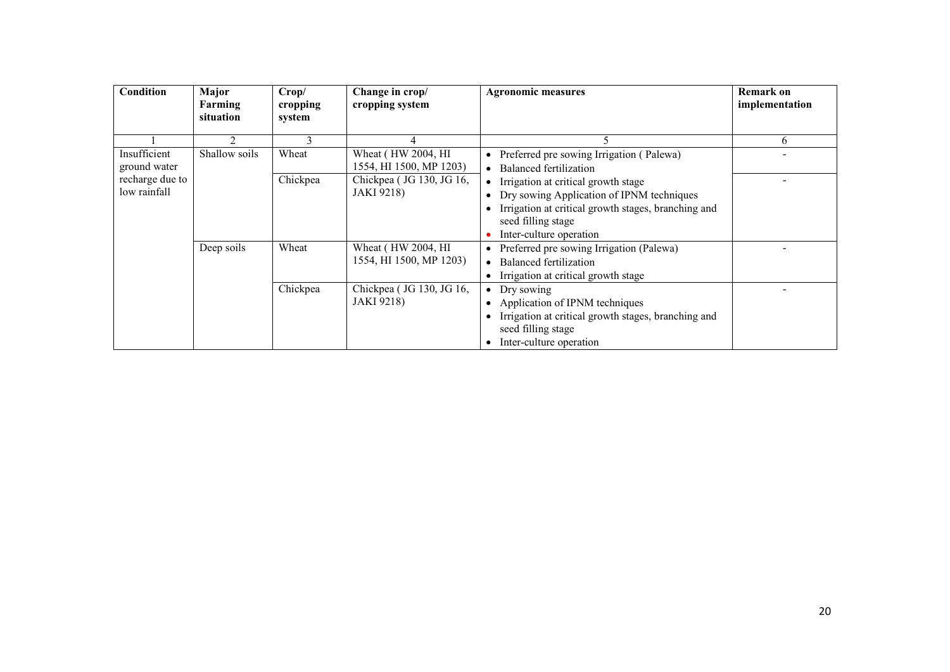| <b>Condition</b> | Major<br>Farming | Crop/<br>cropping | Change in crop/<br>cropping system | <b>Agronomic measures</b>                           | <b>Remark on</b><br>implementation |
|------------------|------------------|-------------------|------------------------------------|-----------------------------------------------------|------------------------------------|
|                  | situation        | system            |                                    |                                                     |                                    |
|                  | 2                | 3                 |                                    |                                                     | 6                                  |
| Insufficient     | Shallow soils    | Wheat             | Wheat (HW 2004, HI)                | • Preferred pre sowing Irrigation (Palewa)          |                                    |
| ground water     |                  |                   | 1554, HI 1500, MP 1203)            | • Balanced fertilization                            |                                    |
| recharge due to  |                  | Chickpea          | Chickpea (JG 130, JG 16,           | • Irrigation at critical growth stage               |                                    |
| low rainfall     |                  |                   | <b>JAKI</b> 9218)                  | • Dry sowing Application of IPNM techniques         |                                    |
|                  |                  |                   |                                    | Irrigation at critical growth stages, branching and |                                    |
|                  |                  |                   |                                    | seed filling stage                                  |                                    |
|                  |                  |                   |                                    | Inter-culture operation                             |                                    |
|                  | Deep soils       | Wheat             | Wheat (HW 2004, HI                 | • Preferred pre sowing Irrigation (Palewa)          |                                    |
|                  |                  |                   | 1554, HI 1500, MP 1203)            | • Balanced fertilization                            |                                    |
|                  |                  |                   |                                    | • Irrigation at critical growth stage               |                                    |
|                  |                  | Chickpea          | Chickpea (JG 130, JG 16,           | $\bullet$ Dry sowing                                |                                    |
|                  |                  |                   | <b>JAKI</b> 9218)                  | • Application of IPNM techniques                    |                                    |
|                  |                  |                   |                                    | Irrigation at critical growth stages, branching and |                                    |
|                  |                  |                   |                                    | seed filling stage                                  |                                    |
|                  |                  |                   |                                    | Inter-culture operation                             |                                    |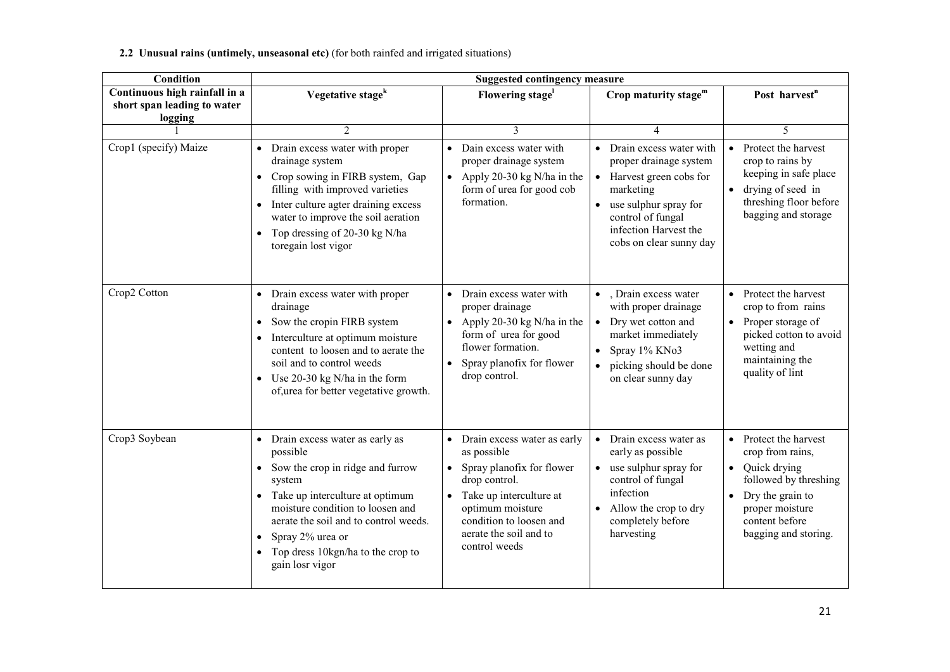2.2 Unusual rains (untimely, unseasonal etc) (for both rainfed and irrigated situations)

| <b>Condition</b>                                                        | <b>Suggested contingency measure</b>                                                                                                                                                                                                                                                                  |                                                                                                                                                                                                                                |                                                                                                                                                                                                         |                                                                                                                                                                                            |  |
|-------------------------------------------------------------------------|-------------------------------------------------------------------------------------------------------------------------------------------------------------------------------------------------------------------------------------------------------------------------------------------------------|--------------------------------------------------------------------------------------------------------------------------------------------------------------------------------------------------------------------------------|---------------------------------------------------------------------------------------------------------------------------------------------------------------------------------------------------------|--------------------------------------------------------------------------------------------------------------------------------------------------------------------------------------------|--|
| Continuous high rainfall in a<br>short span leading to water<br>logging | Vegetative stage <sup>k</sup>                                                                                                                                                                                                                                                                         | Flowering stage <sup>1</sup>                                                                                                                                                                                                   | Crop maturity stage $m$                                                                                                                                                                                 | Post harvest <sup>n</sup>                                                                                                                                                                  |  |
|                                                                         | $\overline{2}$                                                                                                                                                                                                                                                                                        | 3                                                                                                                                                                                                                              | 4                                                                                                                                                                                                       | 5                                                                                                                                                                                          |  |
| Crop1 (specify) Maize                                                   | • Drain excess water with proper<br>drainage system<br>Crop sowing in FIRB system, Gap<br>filling with improved varieties<br>Inter culture agter draining excess<br>$\bullet$<br>water to improve the soil aeration<br>• Top dressing of 20-30 kg N/ha<br>toregain lost vigor                         | • Dain excess water with<br>proper drainage system<br>• Apply 20-30 kg N/ha in the<br>form of urea for good cob<br>formation.                                                                                                  | Drain excess water with<br>proper drainage system<br>Harvest green cobs for<br>$\bullet$<br>marketing<br>use sulphur spray for<br>control of fungal<br>infection Harvest the<br>cobs on clear sunny day | • Protect the harvest<br>crop to rains by<br>keeping in safe place<br>drying of seed in<br>$\bullet$<br>threshing floor before<br>bagging and storage                                      |  |
| Crop2 Cotton                                                            | • Drain excess water with proper<br>drainage<br>Sow the cropin FIRB system<br>$\bullet$<br>Interculture at optimum moisture<br>content to loosen and to aerate the<br>soil and to control weeds<br>• Use $20-30$ kg N/ha in the form<br>of, urea for better vegetative growth.                        | • Drain excess water with<br>proper drainage<br>• Apply 20-30 kg N/ha in the<br>form of urea for good<br>flower formation.<br>Spray planofix for flower<br>$\bullet$<br>drop control.                                          | • Drain excess water<br>with proper drainage<br>• Dry wet cotton and<br>market immediately<br>Spray 1% KNo3<br>$\bullet$<br>picking should be done<br>on clear sunny day                                | • Protect the harvest<br>crop to from rains<br>• Proper storage of<br>picked cotton to avoid<br>wetting and<br>maintaining the<br>quality of lint                                          |  |
| Crop3 Soybean                                                           | • Drain excess water as early as<br>possible<br>Sow the crop in ridge and furrow<br>$\bullet$<br>system<br>• Take up interculture at optimum<br>moisture condition to loosen and<br>aerate the soil and to control weeds.<br>Spray 2% urea or<br>Top dress 10kgn/ha to the crop to<br>gain losr vigor | • Drain excess water as early<br>as possible<br>Spray planofix for flower<br>$\bullet$<br>drop control.<br>• Take up interculture at<br>optimum moisture<br>condition to loosen and<br>aerate the soil and to<br>control weeds | Drain excess water as<br>$\bullet$<br>early as possible<br>use sulphur spray for<br>control of fungal<br>infection<br>Allow the crop to dry<br>completely before<br>harvesting                          | • Protect the harvest<br>crop from rains,<br>$\bullet$ Quick drying<br>followed by threshing<br>Dry the grain to<br>$\bullet$<br>proper moisture<br>content before<br>bagging and storing. |  |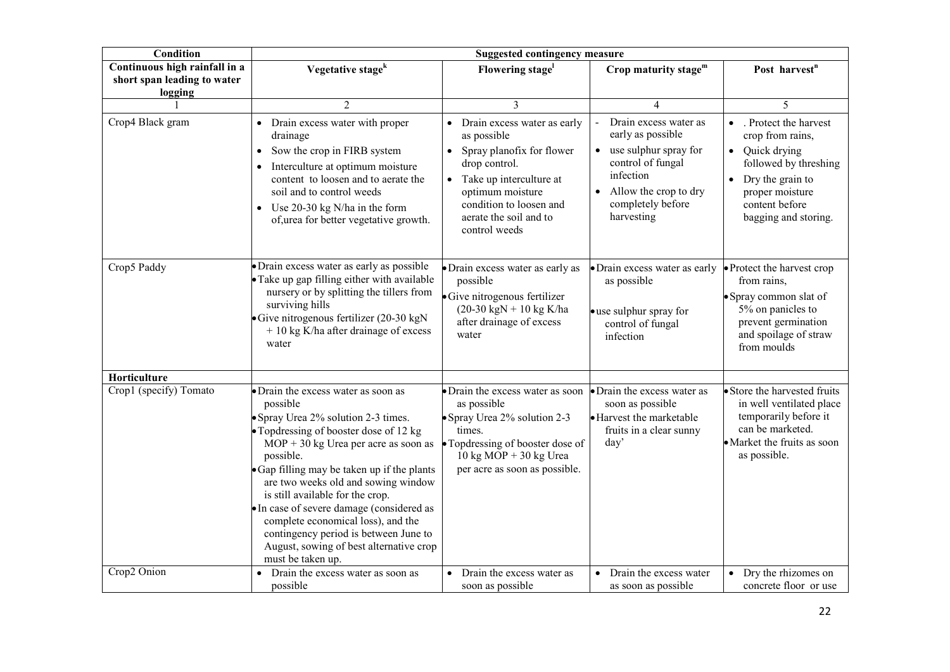| Condition                                                               | <b>Suggested contingency measure</b>                                                                                                                                                                                                                                                                                                                                                                                                                                                                          |                                                                                                                                                                                                                            |                                                                                                                                                                                |                                                                                                                                                                                                 |
|-------------------------------------------------------------------------|---------------------------------------------------------------------------------------------------------------------------------------------------------------------------------------------------------------------------------------------------------------------------------------------------------------------------------------------------------------------------------------------------------------------------------------------------------------------------------------------------------------|----------------------------------------------------------------------------------------------------------------------------------------------------------------------------------------------------------------------------|--------------------------------------------------------------------------------------------------------------------------------------------------------------------------------|-------------------------------------------------------------------------------------------------------------------------------------------------------------------------------------------------|
| Continuous high rainfall in a<br>short span leading to water<br>logging | Vegetative stage <sup>k</sup>                                                                                                                                                                                                                                                                                                                                                                                                                                                                                 | Flowering stage <sup>1</sup>                                                                                                                                                                                               | Crop maturity stage <sup>m</sup>                                                                                                                                               | Post harvest <sup>n</sup>                                                                                                                                                                       |
|                                                                         | $\overline{2}$                                                                                                                                                                                                                                                                                                                                                                                                                                                                                                | 3                                                                                                                                                                                                                          | 4                                                                                                                                                                              | 5                                                                                                                                                                                               |
| Crop4 Black gram                                                        | Drain excess water with proper<br>$\bullet$<br>drainage<br>Sow the crop in FIRB system<br>$\bullet$<br>Interculture at optimum moisture<br>$\bullet$<br>content to loosen and to aerate the<br>soil and to control weeds<br>• Use 20-30 kg N/ha in the form<br>of, urea for better vegetative growth.                                                                                                                                                                                                         | • Drain excess water as early<br>as possible<br>• Spray planofix for flower<br>drop control.<br>• Take up interculture at<br>optimum moisture<br>condition to loosen and<br>aerate the soil and to<br>control weeds        | Drain excess water as<br>early as possible<br>use sulphur spray for<br>$\bullet$<br>control of fungal<br>infection<br>Allow the crop to dry<br>completely before<br>harvesting | . Protect the harvest<br>$\bullet$<br>crop from rains,<br>• Quick drying<br>followed by threshing<br>Dry the grain to<br>$\bullet$<br>proper moisture<br>content before<br>bagging and storing. |
| Crop5 Paddy                                                             | · Drain excess water as early as possible<br>• Take up gap filling either with available<br>nursery or by splitting the tillers from<br>surviving hills<br>Give nitrogenous fertilizer $(20-30 \text{ kgN})$<br>$+10$ kg K/ha after drainage of excess<br>water                                                                                                                                                                                                                                               | · Drain excess water as early as<br>possible<br>• Give nitrogenous fertilizer<br>$(20-30 \text{ kgN} + 10 \text{ kg K/ha})$<br>after drainage of excess<br>water                                                           | • Drain excess water as early<br>as possible<br>• use sulphur spray for<br>control of fungal<br>infection                                                                      | • Protect the harvest crop<br>from rains,<br>• Spray common slat of<br>5% on panicles to<br>prevent germination<br>and spoilage of straw<br>from moulds                                         |
| Horticulture<br>Crop1 (specify) Tomato                                  | • Drain the excess water as soon as<br>possible<br>• Spray Urea 2% solution 2-3 times.<br>• Topdressing of booster dose of 12 kg<br>$MOP + 30$ kg Urea per acre as soon as<br>possible.<br>• Gap filling may be taken up if the plants<br>are two weeks old and sowing window<br>is still available for the crop.<br>• In case of severe damage (considered as<br>complete economical loss), and the<br>contingency period is between June to<br>August, sowing of best alternative crop<br>must be taken up. | • Drain the excess water as soon<br>as possible<br>• Spray Urea 2% solution 2-3<br>times.<br>• Topdressing of booster dose of<br>$10 \text{ kg} \text{ MOP} + 30 \text{ kg} \text{ Urea}$<br>per acre as soon as possible. | • Drain the excess water as<br>soon as possible<br>• Harvest the marketable<br>fruits in a clear sunny<br>day'                                                                 | • Store the harvested fruits<br>in well ventilated place<br>temporarily before it<br>can be marketed.<br>• Market the fruits as soon<br>as possible.                                            |
| Crop2 Onion                                                             | Drain the excess water as soon as<br>possible                                                                                                                                                                                                                                                                                                                                                                                                                                                                 | Drain the excess water as<br>soon as possible                                                                                                                                                                              | Drain the excess water<br>$\bullet$<br>as soon as possible                                                                                                                     | Dry the rhizomes on<br>concrete floor or use                                                                                                                                                    |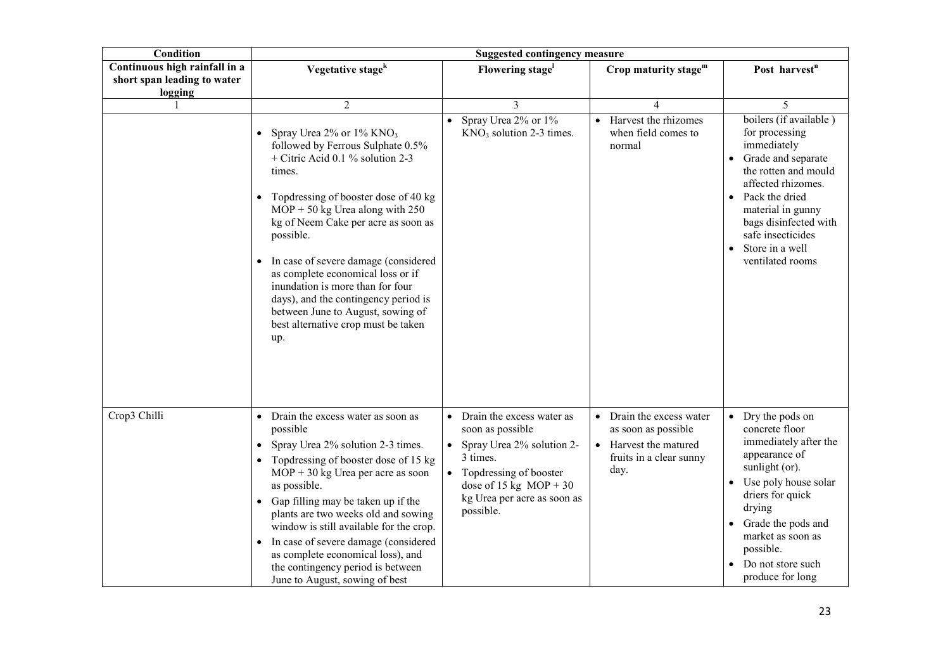| <b>Condition</b>                                                        |                                                                                                                                                                                                                                                                                                                                                                                                                                                                                                      | <b>Suggested contingency measure</b>                                                                                                                                                         |                                                                                                                      |                                                                                                                                                                                                                                                           |
|-------------------------------------------------------------------------|------------------------------------------------------------------------------------------------------------------------------------------------------------------------------------------------------------------------------------------------------------------------------------------------------------------------------------------------------------------------------------------------------------------------------------------------------------------------------------------------------|----------------------------------------------------------------------------------------------------------------------------------------------------------------------------------------------|----------------------------------------------------------------------------------------------------------------------|-----------------------------------------------------------------------------------------------------------------------------------------------------------------------------------------------------------------------------------------------------------|
| Continuous high rainfall in a<br>short span leading to water<br>logging | Vegetative stage <sup>k</sup>                                                                                                                                                                                                                                                                                                                                                                                                                                                                        | Flowering stage                                                                                                                                                                              | Crop maturity stage <sup>m</sup>                                                                                     | Post harvest <sup>n</sup>                                                                                                                                                                                                                                 |
|                                                                         | $\overline{c}$                                                                                                                                                                                                                                                                                                                                                                                                                                                                                       | 3                                                                                                                                                                                            | 4                                                                                                                    | 5                                                                                                                                                                                                                                                         |
|                                                                         | Spray Urea 2% or 1% KNO <sub>3</sub><br>followed by Ferrous Sulphate 0.5%<br>+ Citric Acid 0.1 % solution 2-3<br>times.<br>Topdressing of booster dose of 40 kg<br>$MOP + 50$ kg Urea along with 250<br>kg of Neem Cake per acre as soon as<br>possible.<br>In case of severe damage (considered<br>as complete economical loss or if<br>inundation is more than for four<br>days), and the contingency period is<br>between June to August, sowing of<br>best alternative crop must be taken<br>up. | Spray Urea 2% or 1%<br>$KNO3$ solution 2-3 times.                                                                                                                                            | Harvest the rhizomes<br>$\bullet$<br>when field comes to<br>normal                                                   | boilers (if available)<br>for processing<br>immediately<br>• Grade and separate<br>the rotten and mould<br>affected rhizomes.<br>Pack the dried<br>material in gunny<br>bags disinfected with<br>safe insecticides<br>Store in a well<br>ventilated rooms |
| Crop3 Chilli                                                            | Drain the excess water as soon as<br>possible<br>Spray Urea 2% solution 2-3 times.<br>Topdressing of booster dose of 15 kg<br>$MOP + 30$ kg Urea per acre as soon<br>as possible.<br>Gap filling may be taken up if the<br>plants are two weeks old and sowing<br>window is still available for the crop.<br>In case of severe damage (considered<br>as complete economical loss), and<br>the contingency period is between<br>June to August, sowing of best                                        | • Drain the excess water as<br>soon as possible<br>• Spray Urea 2% solution 2-<br>3 times.<br>Topdressing of booster<br>dose of 15 kg $MOP + 30$<br>kg Urea per acre as soon as<br>possible. | Drain the excess water<br>as soon as possible<br>Harvest the matured<br>$\bullet$<br>fruits in a clear sunny<br>day. | • Dry the pods on<br>concrete floor<br>immediately after the<br>appearance of<br>sunlight (or).<br>• Use poly house solar<br>driers for quick<br>drying<br>Grade the pods and<br>market as soon as<br>possible.<br>Do not store such<br>produce for long  |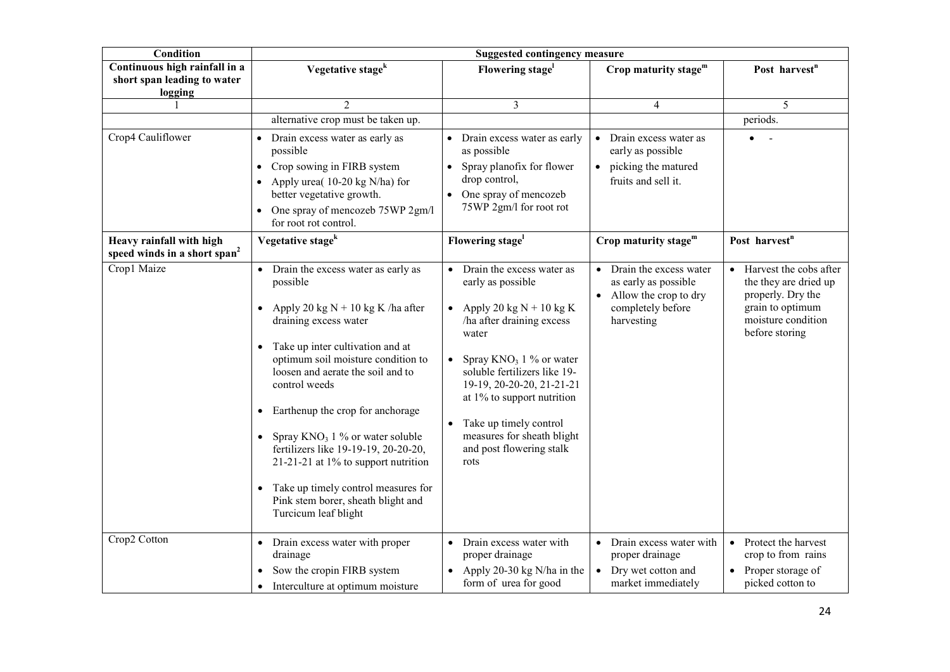| Condition                                                               | <b>Suggested contingency measure</b>                                                                                                                                                                                                                                                                                                                                                                                                                                                                                                         |                                                                                                                                                                                                                                                                                                                                              |                                                                                                                         |                                                                                                                                               |
|-------------------------------------------------------------------------|----------------------------------------------------------------------------------------------------------------------------------------------------------------------------------------------------------------------------------------------------------------------------------------------------------------------------------------------------------------------------------------------------------------------------------------------------------------------------------------------------------------------------------------------|----------------------------------------------------------------------------------------------------------------------------------------------------------------------------------------------------------------------------------------------------------------------------------------------------------------------------------------------|-------------------------------------------------------------------------------------------------------------------------|-----------------------------------------------------------------------------------------------------------------------------------------------|
| Continuous high rainfall in a<br>short span leading to water<br>logging | Vegetative stage <sup>k</sup>                                                                                                                                                                                                                                                                                                                                                                                                                                                                                                                | Flowering stage <sup>1</sup>                                                                                                                                                                                                                                                                                                                 | Crop maturity stage $m$                                                                                                 | Post harvest <sup>n</sup>                                                                                                                     |
|                                                                         | $\overline{2}$                                                                                                                                                                                                                                                                                                                                                                                                                                                                                                                               | $\overline{3}$                                                                                                                                                                                                                                                                                                                               | 4                                                                                                                       | 5                                                                                                                                             |
|                                                                         | alternative crop must be taken up.                                                                                                                                                                                                                                                                                                                                                                                                                                                                                                           |                                                                                                                                                                                                                                                                                                                                              |                                                                                                                         | periods.                                                                                                                                      |
| Crop4 Cauliflower                                                       | Drain excess water as early as<br>$\bullet$<br>possible<br>Crop sowing in FIRB system<br>$\bullet$<br>Apply urea(10-20 kg N/ha) for<br>$\bullet$<br>better vegetative growth.<br>One spray of mencozeb 75WP 2gm/l<br>$\bullet$<br>for root rot control.                                                                                                                                                                                                                                                                                      | • Drain excess water as early<br>as possible<br>• Spray planofix for flower<br>drop control,<br>• One spray of mencozeb<br>75WP 2gm/l for root rot                                                                                                                                                                                           | Drain excess water as<br>$\bullet$<br>early as possible<br>• picking the matured<br>fruits and sell it.                 |                                                                                                                                               |
| Heavy rainfall with high<br>speed winds in a short span <sup>2</sup>    | Vegetative stage <sup>k</sup>                                                                                                                                                                                                                                                                                                                                                                                                                                                                                                                | Flowering stage <sup>1</sup>                                                                                                                                                                                                                                                                                                                 | Crop maturity stage <sup>m</sup>                                                                                        | Post harvest <sup>n</sup>                                                                                                                     |
| Crop1 Maize                                                             | • Drain the excess water as early as<br>possible<br>Apply 20 kg $N + 10$ kg K /ha after<br>$\bullet$<br>draining excess water<br>Take up inter cultivation and at<br>optimum soil moisture condition to<br>loosen and aerate the soil and to<br>control weeds<br>Earthenup the crop for anchorage<br>$\bullet$<br>• Spray $KNO_3$ 1 % or water soluble<br>fertilizers like 19-19-19, 20-20-20,<br>21-21-21 at 1% to support nutrition<br>• Take up timely control measures for<br>Pink stem borer, sheath blight and<br>Turcicum leaf blight | • Drain the excess water as<br>early as possible<br>• Apply 20 kg $N + 10$ kg K<br>ha after draining excess<br>water<br>Spray $KNO_3$ 1 % or water<br>soluble fertilizers like 19-<br>19-19, 20-20-20, 21-21-21<br>at $1\%$ to support nutrition<br>Take up timely control<br>measures for sheath blight<br>and post flowering stalk<br>rots | Drain the excess water<br>$\bullet$<br>as early as possible<br>Allow the crop to dry<br>completely before<br>harvesting | Harvest the cobs after<br>$\bullet$<br>the they are dried up<br>properly. Dry the<br>grain to optimum<br>moisture condition<br>before storing |
| Crop2 Cotton                                                            | • Drain excess water with proper<br>drainage<br>Sow the cropin FIRB system<br>Interculture at optimum moisture<br>$\bullet$                                                                                                                                                                                                                                                                                                                                                                                                                  | • Drain excess water with<br>proper drainage<br>• Apply 20-30 kg N/ha in the<br>form of urea for good                                                                                                                                                                                                                                        | Drain excess water with<br>$\bullet$<br>proper drainage<br>Dry wet cotton and<br>$\bullet$<br>market immediately        | • Protect the harvest<br>crop to from rains<br>Proper storage of<br>picked cotton to                                                          |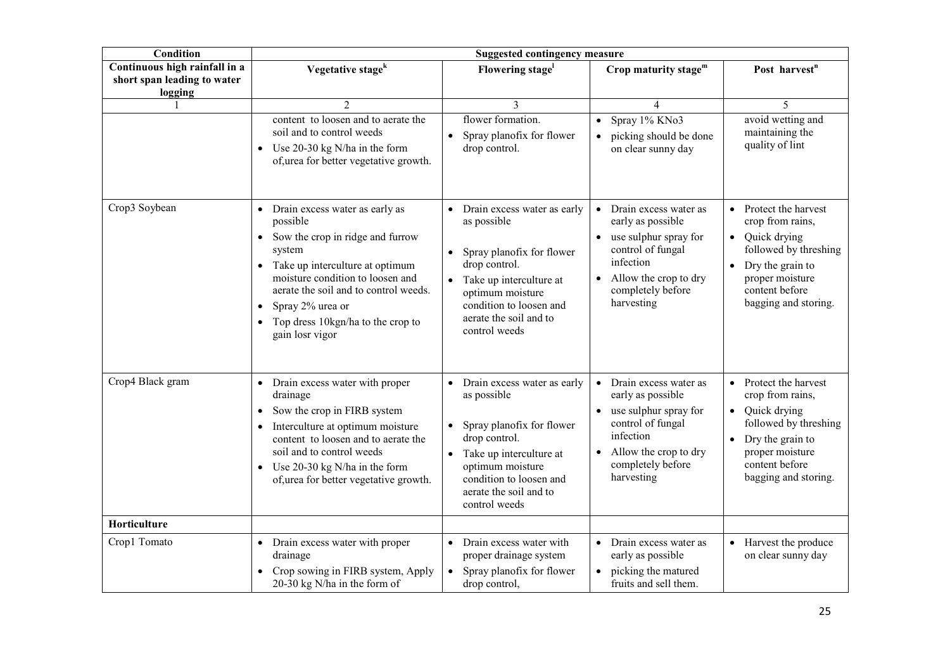| Condition                                                               | <b>Suggested contingency measure</b>                                                                                                                                                                                                                                                       |                                                                                                                                                                                                                              |                                                                                                                                                                                             |                                                                                                                                                                                               |
|-------------------------------------------------------------------------|--------------------------------------------------------------------------------------------------------------------------------------------------------------------------------------------------------------------------------------------------------------------------------------------|------------------------------------------------------------------------------------------------------------------------------------------------------------------------------------------------------------------------------|---------------------------------------------------------------------------------------------------------------------------------------------------------------------------------------------|-----------------------------------------------------------------------------------------------------------------------------------------------------------------------------------------------|
| Continuous high rainfall in a<br>short span leading to water<br>logging | Vegetative stage <sup>k</sup>                                                                                                                                                                                                                                                              | Flowering stage <sup>1</sup>                                                                                                                                                                                                 | Crop maturity stage <sup>m</sup>                                                                                                                                                            | Post harvest <sup>n</sup>                                                                                                                                                                     |
|                                                                         | $\overline{2}$                                                                                                                                                                                                                                                                             | 3                                                                                                                                                                                                                            | 4                                                                                                                                                                                           | 5                                                                                                                                                                                             |
|                                                                         | content to loosen and to aerate the<br>soil and to control weeds<br>• Use $20-30$ kg N/ha in the form<br>of, urea for better vegetative growth.                                                                                                                                            | flower formation.<br>Spray planofix for flower<br>$\bullet$<br>drop control.                                                                                                                                                 | Spray 1% KNo3<br>$\bullet$<br>picking should be done<br>$\bullet$<br>on clear sunny day                                                                                                     | avoid wetting and<br>maintaining the<br>quality of lint                                                                                                                                       |
| Crop3 Soybean                                                           | • Drain excess water as early as<br>possible<br>• Sow the crop in ridge and furrow<br>system<br>• Take up interculture at optimum<br>moisture condition to loosen and<br>aerate the soil and to control weeds.<br>Spray 2% urea or<br>Top dress 10kgn/ha to the crop to<br>gain losr vigor | Drain excess water as early<br>as possible<br>Spray planofix for flower<br>$\bullet$<br>drop control.<br>• Take up interculture at<br>optimum moisture<br>condition to loosen and<br>aerate the soil and to<br>control weeds | Drain excess water as<br>$\bullet$<br>early as possible<br>use sulphur spray for<br>$\bullet$<br>control of fungal<br>infection<br>Allow the crop to dry<br>completely before<br>harvesting | Protect the harvest<br>$\bullet$<br>crop from rains,<br>• Quick drying<br>followed by threshing<br>Dry the grain to<br>$\bullet$<br>proper moisture<br>content before<br>bagging and storing. |
| Crop4 Black gram                                                        | • Drain excess water with proper<br>drainage<br>Sow the crop in FIRB system<br>Interculture at optimum moisture<br>content to loosen and to aerate the<br>soil and to control weeds<br>• Use $20-30$ kg N/ha in the form<br>of, urea for better vegetative growth.                         | Drain excess water as early<br>as possible<br>Spray planofix for flower<br>drop control.<br>• Take up interculture at<br>optimum moisture<br>condition to loosen and<br>aerate the soil and to<br>control weeds              | Drain excess water as<br>$\bullet$<br>early as possible<br>use sulphur spray for<br>control of fungal<br>infection<br>Allow the crop to dry<br>completely before<br>harvesting              | • Protect the harvest<br>crop from rains,<br>• Quick drying<br>followed by threshing<br>• Dry the grain to<br>proper moisture<br>content before<br>bagging and storing.                       |
| Horticulture                                                            |                                                                                                                                                                                                                                                                                            |                                                                                                                                                                                                                              |                                                                                                                                                                                             |                                                                                                                                                                                               |
| Crop1 Tomato                                                            | • Drain excess water with proper<br>drainage<br>• Crop sowing in FIRB system, Apply<br>20-30 kg N/ha in the form of                                                                                                                                                                        | Drain excess water with<br>proper drainage system<br>Spray planofix for flower<br>$\bullet$<br>drop control,                                                                                                                 | Drain excess water as<br>$\bullet$<br>early as possible<br>• picking the matured<br>fruits and sell them.                                                                                   | • Harvest the produce<br>on clear sunny day                                                                                                                                                   |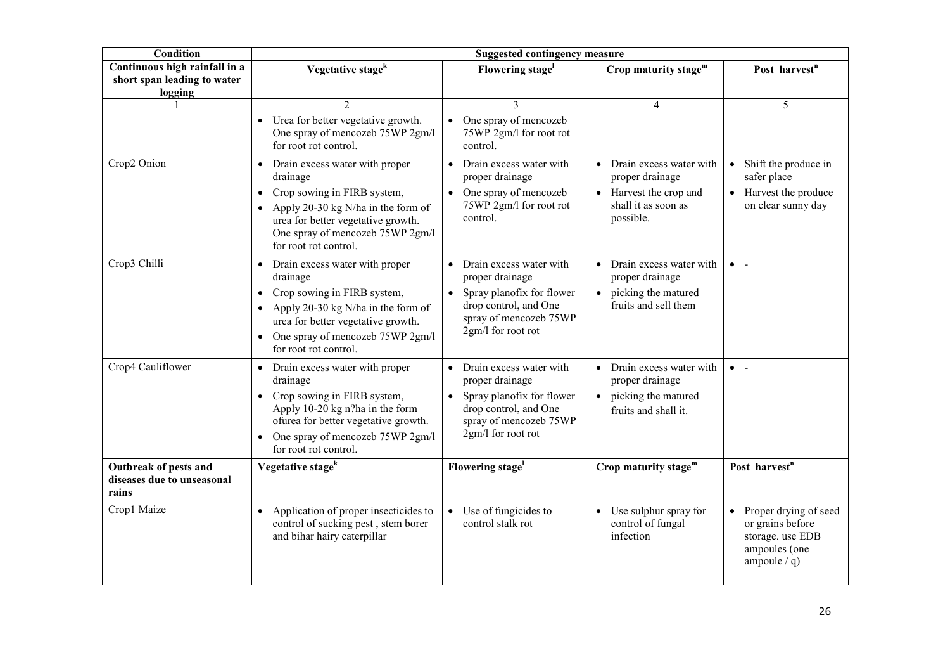| <b>Condition</b>                                                        | <b>Suggested contingency measure</b>                                                                                                                                                                                                |                                                                                                                                                                            |                                                                                                            |                                                                                                  |  |
|-------------------------------------------------------------------------|-------------------------------------------------------------------------------------------------------------------------------------------------------------------------------------------------------------------------------------|----------------------------------------------------------------------------------------------------------------------------------------------------------------------------|------------------------------------------------------------------------------------------------------------|--------------------------------------------------------------------------------------------------|--|
| Continuous high rainfall in a<br>short span leading to water<br>logging | Vegetative stage <sup>k</sup>                                                                                                                                                                                                       | Flowering stage <sup>1</sup>                                                                                                                                               | Crop maturity stage $m$                                                                                    | Post harvest <sup>n</sup>                                                                        |  |
|                                                                         | $\overline{c}$                                                                                                                                                                                                                      | 3                                                                                                                                                                          | 4                                                                                                          | 5                                                                                                |  |
|                                                                         | • Urea for better vegetative growth.<br>One spray of mencozeb 75WP 2gm/l<br>for root rot control.                                                                                                                                   | One spray of mencozeb<br>$\bullet$<br>75WP 2gm/l for root rot<br>control.                                                                                                  |                                                                                                            |                                                                                                  |  |
| Crop2 Onion                                                             | • Drain excess water with proper<br>drainage<br>Crop sowing in FIRB system,<br>$\bullet$<br>• Apply 20-30 kg N/ha in the form of<br>urea for better vegetative growth.<br>One spray of mencozeb 75WP 2gm/l<br>for root rot control. | • Drain excess water with<br>proper drainage<br>• One spray of mencozeb<br>75WP 2gm/l for root rot<br>control.                                                             | • Drain excess water with<br>proper drainage<br>• Harvest the crop and<br>shall it as soon as<br>possible. | Shift the produce in<br>$\bullet$<br>safer place<br>• Harvest the produce<br>on clear sunny day  |  |
| Crop3 Chilli                                                            | • Drain excess water with proper<br>drainage<br>• Crop sowing in FIRB system,<br>• Apply 20-30 kg N/ha in the form of<br>urea for better vegetative growth.<br>• One spray of mencozeb 75WP 2gm/l<br>for root rot control.          | Drain excess water with<br>$\bullet$<br>proper drainage<br>Spray planofix for flower<br>$\bullet$<br>drop control, and One<br>spray of mencozeb 75WP<br>2gm/l for root rot | • Drain excess water with<br>proper drainage<br>• picking the matured<br>fruits and sell them              | $\bullet$ -                                                                                      |  |
| Crop4 Cauliflower                                                       | • Drain excess water with proper<br>drainage<br>• Crop sowing in FIRB system,<br>Apply 10-20 kg n?ha in the form<br>ofurea for better vegetative growth.<br>One spray of mencozeb 75WP 2gm/l<br>$\bullet$<br>for root rot control.  | • Drain excess water with<br>proper drainage<br>Spray planofix for flower<br>$\bullet$<br>drop control, and One<br>spray of mencozeb 75WP<br>2gm/l for root rot            | • Drain excess water with<br>proper drainage<br>• picking the matured<br>fruits and shall it.              | $\bullet$ -                                                                                      |  |
| Outbreak of pests and<br>diseases due to unseasonal<br>rains            | Vegetative stage <sup>k</sup>                                                                                                                                                                                                       | Flowering stage <sup>1</sup>                                                                                                                                               | Crop maturity stage $m$                                                                                    | Post harvest <sup>n</sup>                                                                        |  |
| Crop1 Maize                                                             | • Application of proper insecticides to<br>control of sucking pest, stem borer<br>and bihar hairy caterpillar                                                                                                                       | $\bullet$ Use of fungicides to<br>control stalk rot                                                                                                                        | • Use sulphur spray for<br>control of fungal<br>infection                                                  | Proper drying of seed<br>or grains before<br>storage. use EDB<br>ampoules (one<br>ampoule $/q$ ) |  |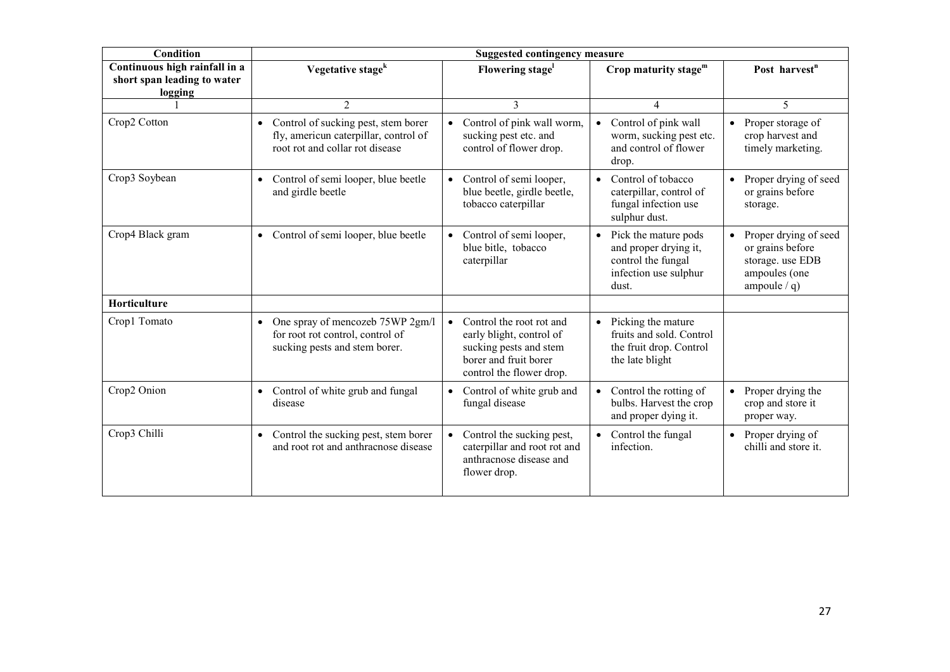| <b>Condition</b>                                                        | <b>Suggested contingency measure</b>                                                                              |                                                                                                                                                  |                                                                                                       |                                                                                                  |
|-------------------------------------------------------------------------|-------------------------------------------------------------------------------------------------------------------|--------------------------------------------------------------------------------------------------------------------------------------------------|-------------------------------------------------------------------------------------------------------|--------------------------------------------------------------------------------------------------|
| Continuous high rainfall in a<br>short span leading to water<br>logging | Vegetative stage <sup>k</sup>                                                                                     | Flowering stage <sup>1</sup>                                                                                                                     | Crop maturity stage <sup>m</sup>                                                                      | Post harvest <sup>n</sup>                                                                        |
|                                                                         | $\overline{2}$                                                                                                    | 3                                                                                                                                                | 4                                                                                                     | 5                                                                                                |
| Crop2 Cotton                                                            | • Control of sucking pest, stem borer<br>fly, americun caterpillar, control of<br>root rot and collar rot disease | Control of pink wall worm,<br>sucking pest etc. and<br>control of flower drop.                                                                   | Control of pink wall<br>worm, sucking pest etc.<br>and control of flower<br>drop.                     | Proper storage of<br>$\bullet$<br>crop harvest and<br>timely marketing.                          |
| Crop3 Soybean                                                           | Control of semi looper, blue beetle<br>$\bullet$<br>and girdle beetle                                             | Control of semi looper,<br>$\bullet$<br>blue beetle, girdle beetle,<br>tobacco caterpillar                                                       | Control of tobacco<br>caterpillar, control of<br>fungal infection use<br>sulphur dust.                | Proper drying of seed<br>or grains before<br>storage.                                            |
| Crop4 Black gram                                                        | • Control of semi looper, blue beetle                                                                             | Control of semi looper,<br>blue bitle, tobacco<br>caterpillar                                                                                    | Pick the mature pods<br>and proper drying it,<br>control the fungal<br>infection use sulphur<br>dust. | Proper drying of seed<br>or grains before<br>storage. use EDB<br>ampoules (one<br>ampoule $/q$ ) |
| Horticulture                                                            |                                                                                                                   |                                                                                                                                                  |                                                                                                       |                                                                                                  |
| Crop1 Tomato                                                            | • One spray of mencozeb 75WP 2gm/l<br>for root rot control, control of<br>sucking pests and stem borer.           | Control the root rot and<br>$\bullet$<br>early blight, control of<br>sucking pests and stem<br>borer and fruit borer<br>control the flower drop. | Picking the mature<br>fruits and sold. Control<br>the fruit drop. Control<br>the late blight          |                                                                                                  |
| Crop2 Onion                                                             | • Control of white grub and fungal<br>disease                                                                     | Control of white grub and<br>$\bullet$<br>fungal disease                                                                                         | Control the rotting of<br>bulbs. Harvest the crop<br>and proper dying it.                             | Proper drying the<br>crop and store it<br>proper way.                                            |
| Crop3 Chilli                                                            | • Control the sucking pest, stem borer<br>and root rot and anthracnose disease                                    | Control the sucking pest,<br>$\bullet$<br>caterpillar and root rot and<br>anthracnose disease and<br>flower drop.                                | Control the fungal<br>infection.                                                                      | Proper drying of<br>$\bullet$<br>chilli and store it.                                            |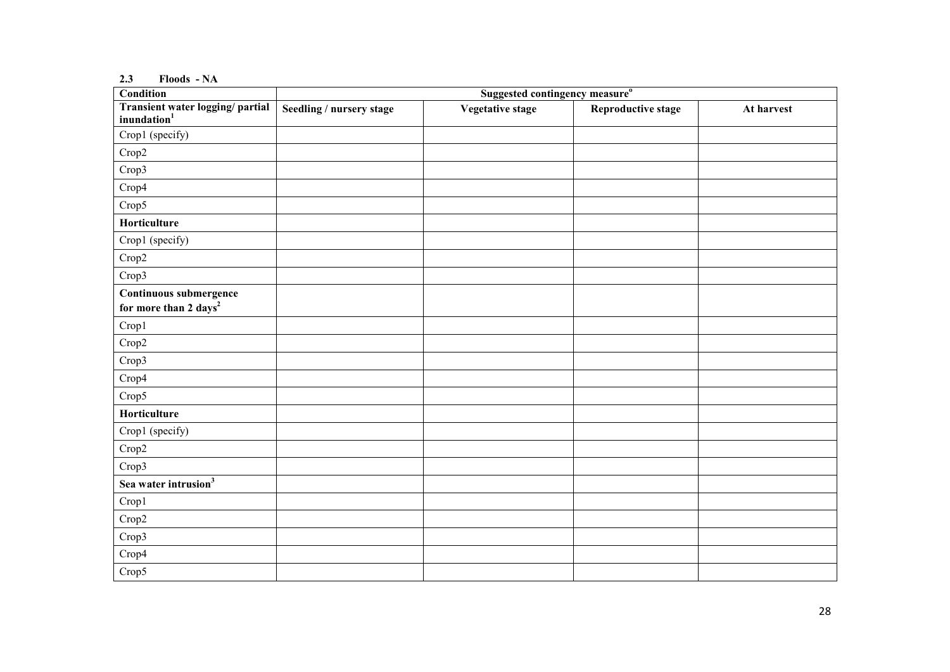#### 2.3 Floods - NA

| <b>Condition</b>                                            | Suggested contingency measure <sup>o</sup> |                         |                           |            |
|-------------------------------------------------------------|--------------------------------------------|-------------------------|---------------------------|------------|
| Transient water logging/ partial<br>inundation <sup>1</sup> | Seedling / nursery stage                   | <b>Vegetative stage</b> | <b>Reproductive stage</b> | At harvest |
| Crop1 (specify)                                             |                                            |                         |                           |            |
| Crop2                                                       |                                            |                         |                           |            |
| Crop3                                                       |                                            |                         |                           |            |
| Crop4                                                       |                                            |                         |                           |            |
| Crop5                                                       |                                            |                         |                           |            |
| Horticulture                                                |                                            |                         |                           |            |
| Crop1 (specify)                                             |                                            |                         |                           |            |
| Crop2                                                       |                                            |                         |                           |            |
| Crop3                                                       |                                            |                         |                           |            |
| Continuous submergence<br>for more than 2 days <sup>2</sup> |                                            |                         |                           |            |
| Crop1                                                       |                                            |                         |                           |            |
| Crop2                                                       |                                            |                         |                           |            |
| Crop3                                                       |                                            |                         |                           |            |
| Crop4                                                       |                                            |                         |                           |            |
| Crop5                                                       |                                            |                         |                           |            |
| Horticulture                                                |                                            |                         |                           |            |
| Crop1 (specify)                                             |                                            |                         |                           |            |
| Crop2                                                       |                                            |                         |                           |            |
| Crop3                                                       |                                            |                         |                           |            |
| Sea water intrusion <sup>3</sup>                            |                                            |                         |                           |            |
| Crop1                                                       |                                            |                         |                           |            |
| Crop2                                                       |                                            |                         |                           |            |
| Crop3                                                       |                                            |                         |                           |            |
| Crop4                                                       |                                            |                         |                           |            |
| Crop5                                                       |                                            |                         |                           |            |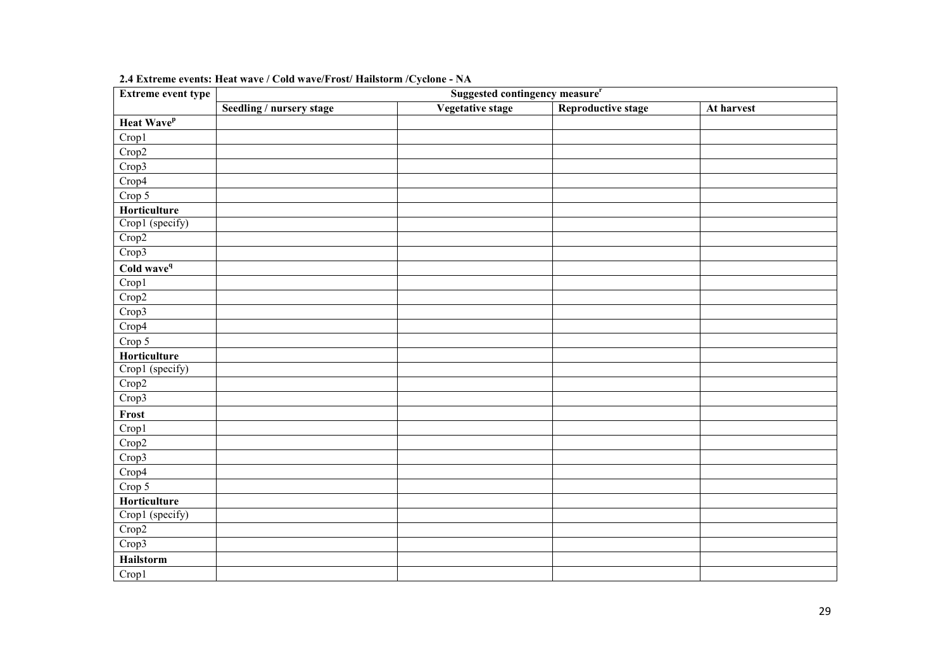| Extreme event type     | Suggested contingency measure" |                  |                           |            |  |  |
|------------------------|--------------------------------|------------------|---------------------------|------------|--|--|
|                        | Seedling / nursery stage       | Vegetative stage | <b>Reproductive stage</b> | At harvest |  |  |
| Heat Wave <sup>p</sup> |                                |                  |                           |            |  |  |
| Crop1                  |                                |                  |                           |            |  |  |
| Crop2                  |                                |                  |                           |            |  |  |
| Crop3                  |                                |                  |                           |            |  |  |
| Crop4                  |                                |                  |                           |            |  |  |
| Crop 5                 |                                |                  |                           |            |  |  |
| Horticulture           |                                |                  |                           |            |  |  |
| Crop1 (specify)        |                                |                  |                           |            |  |  |
| Crop2                  |                                |                  |                           |            |  |  |
| Crop3                  |                                |                  |                           |            |  |  |
| Cold wave <sup>q</sup> |                                |                  |                           |            |  |  |
| Crop1                  |                                |                  |                           |            |  |  |
| Crop2                  |                                |                  |                           |            |  |  |
| Crop3                  |                                |                  |                           |            |  |  |
| Crop4                  |                                |                  |                           |            |  |  |
| Crop 5                 |                                |                  |                           |            |  |  |
| Horticulture           |                                |                  |                           |            |  |  |
| Crop1 (specify)        |                                |                  |                           |            |  |  |
| Crop2                  |                                |                  |                           |            |  |  |
| Crop3                  |                                |                  |                           |            |  |  |
| Frost                  |                                |                  |                           |            |  |  |
| Crop1                  |                                |                  |                           |            |  |  |
| Crop2                  |                                |                  |                           |            |  |  |
| Crop3                  |                                |                  |                           |            |  |  |
| Crop4                  |                                |                  |                           |            |  |  |
| Crop 5                 |                                |                  |                           |            |  |  |
| Horticulture           |                                |                  |                           |            |  |  |
| Crop1 (specify)        |                                |                  |                           |            |  |  |
| Crop2                  |                                |                  |                           |            |  |  |
| Crop3                  |                                |                  |                           |            |  |  |
| Hailstorm              |                                |                  |                           |            |  |  |
| Crop1                  |                                |                  |                           |            |  |  |

### 2.4 Extreme events: Heat wave / Cold wave/Frost/ Hailstorm /Cyclone - NA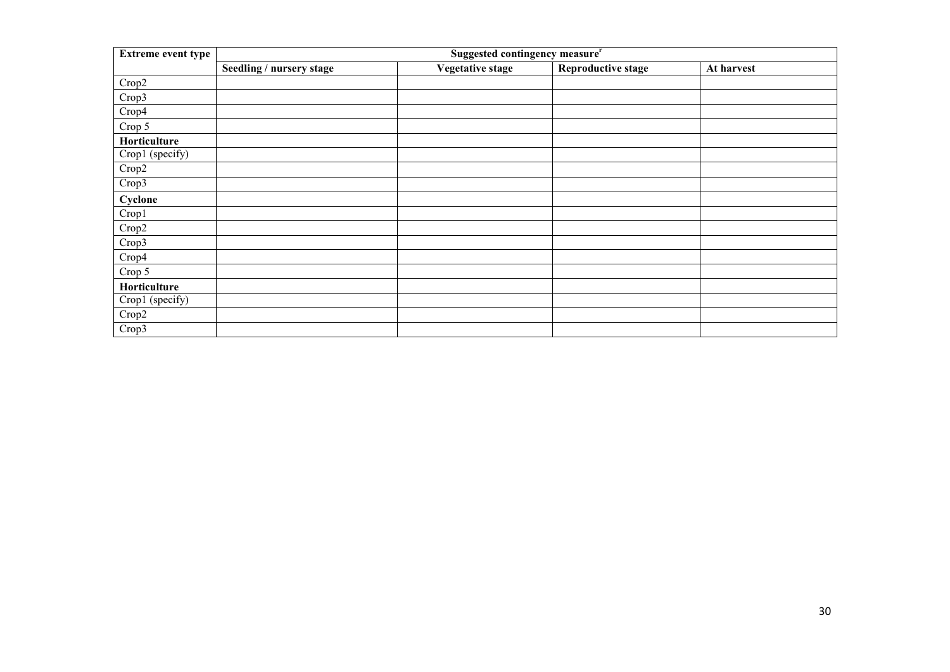| <b>Extreme event type</b> | Suggested contingency measure <sup>r</sup> |                         |                           |            |
|---------------------------|--------------------------------------------|-------------------------|---------------------------|------------|
|                           | Seedling / nursery stage                   | <b>Vegetative stage</b> | <b>Reproductive stage</b> | At harvest |
| Crop2                     |                                            |                         |                           |            |
| Crop3                     |                                            |                         |                           |            |
| Crop4                     |                                            |                         |                           |            |
| Crop 5                    |                                            |                         |                           |            |
| Horticulture              |                                            |                         |                           |            |
| Crop1 (specify)           |                                            |                         |                           |            |
| Crop2                     |                                            |                         |                           |            |
| Crop3                     |                                            |                         |                           |            |
| Cyclone                   |                                            |                         |                           |            |
| Crop1                     |                                            |                         |                           |            |
| Crop2                     |                                            |                         |                           |            |
| Crop3                     |                                            |                         |                           |            |
| Crop4                     |                                            |                         |                           |            |
| Crop 5                    |                                            |                         |                           |            |
| Horticulture              |                                            |                         |                           |            |
| Crop1 (specify)           |                                            |                         |                           |            |
| Crop2                     |                                            |                         |                           |            |
| Crop3                     |                                            |                         |                           |            |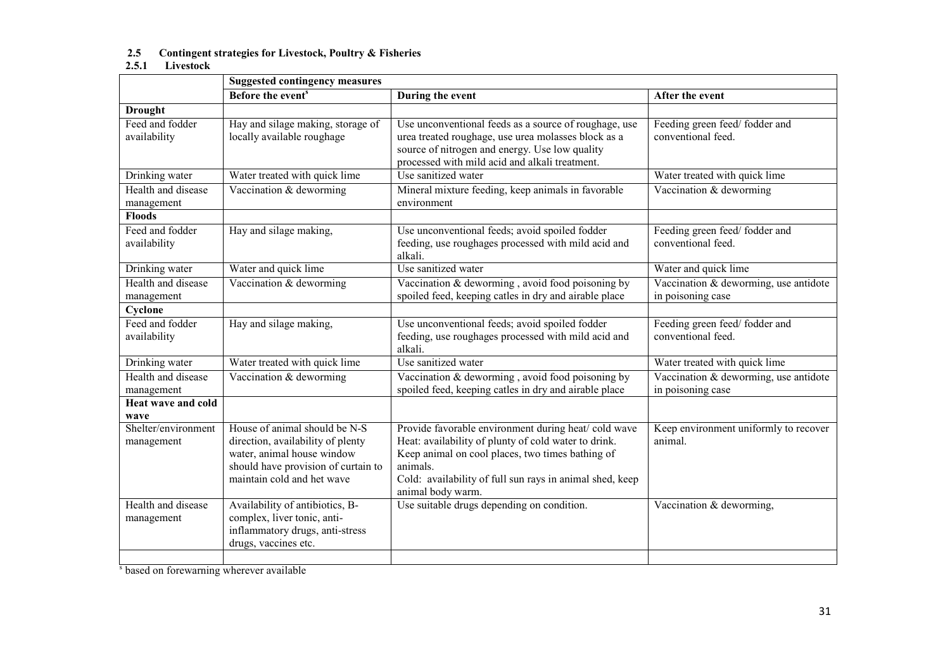# 2.5 Contingent strategies for Livestock, Poultry & Fisheries 2.5.1 Livestock

|                                   | <b>Suggested contingency measures</b>                                                                                                                                 |                                                                                                                                                                                                                                                              |                                                            |  |  |
|-----------------------------------|-----------------------------------------------------------------------------------------------------------------------------------------------------------------------|--------------------------------------------------------------------------------------------------------------------------------------------------------------------------------------------------------------------------------------------------------------|------------------------------------------------------------|--|--|
|                                   | Before the event <sup>s</sup>                                                                                                                                         | During the event                                                                                                                                                                                                                                             | After the event                                            |  |  |
| <b>Drought</b>                    |                                                                                                                                                                       |                                                                                                                                                                                                                                                              |                                                            |  |  |
| Feed and fodder<br>availability   | Hay and silage making, storage of<br>locally available roughage                                                                                                       | Use unconventional feeds as a source of roughage, use<br>urea treated roughage, use urea molasses block as a<br>source of nitrogen and energy. Use low quality<br>processed with mild acid and alkali treatment.                                             | Feeding green feed/fodder and<br>conventional feed.        |  |  |
| Drinking water                    | Water treated with quick lime                                                                                                                                         | Use sanitized water                                                                                                                                                                                                                                          | Water treated with quick lime                              |  |  |
| Health and disease<br>management  | Vaccination & deworming                                                                                                                                               | Mineral mixture feeding, keep animals in favorable<br>environment                                                                                                                                                                                            | Vaccination & deworming                                    |  |  |
| <b>Floods</b>                     |                                                                                                                                                                       |                                                                                                                                                                                                                                                              |                                                            |  |  |
| Feed and fodder<br>availability   | Hay and silage making,                                                                                                                                                | Use unconventional feeds; avoid spoiled fodder<br>feeding, use roughages processed with mild acid and<br>alkali.                                                                                                                                             | Feeding green feed/fodder and<br>conventional feed.        |  |  |
| Drinking water                    | Water and quick lime                                                                                                                                                  | Use sanitized water                                                                                                                                                                                                                                          | Water and quick lime                                       |  |  |
| Health and disease<br>management  | Vaccination & deworming                                                                                                                                               | Vaccination & deworming, avoid food poisoning by<br>spoiled feed, keeping catles in dry and airable place                                                                                                                                                    | Vaccination & deworming, use antidote<br>in poisoning case |  |  |
| Cyclone                           |                                                                                                                                                                       |                                                                                                                                                                                                                                                              |                                                            |  |  |
| Feed and fodder<br>availability   | Hay and silage making,                                                                                                                                                | Use unconventional feeds; avoid spoiled fodder<br>feeding, use roughages processed with mild acid and<br>alkali.                                                                                                                                             | Feeding green feed/fodder and<br>conventional feed.        |  |  |
| Drinking water                    | Water treated with quick lime                                                                                                                                         | Use sanitized water                                                                                                                                                                                                                                          | Water treated with quick lime                              |  |  |
| Health and disease<br>management  | Vaccination & deworming                                                                                                                                               | Vaccination $&$ deworming, avoid food poisoning by<br>spoiled feed, keeping catles in dry and airable place                                                                                                                                                  | Vaccination & deworming, use antidote<br>in poisoning case |  |  |
| <b>Heat wave and cold</b><br>wave |                                                                                                                                                                       |                                                                                                                                                                                                                                                              |                                                            |  |  |
| Shelter/environment<br>management | House of animal should be N-S<br>direction, availability of plenty<br>water, animal house window<br>should have provision of curtain to<br>maintain cold and het wave | Provide favorable environment during heat/cold wave<br>Heat: availability of plunty of cold water to drink.<br>Keep animal on cool places, two times bathing of<br>animals.<br>Cold: availability of full sun rays in animal shed, keep<br>animal body warm. | Keep environment uniformly to recover<br>animal.           |  |  |
| Health and disease<br>management  | Availability of antibiotics, B-<br>complex, liver tonic, anti-<br>inflammatory drugs, anti-stress<br>drugs, vaccines etc.                                             | Use suitable drugs depending on condition.                                                                                                                                                                                                                   | Vaccination & deworming,                                   |  |  |
|                                   |                                                                                                                                                                       |                                                                                                                                                                                                                                                              |                                                            |  |  |

s based on forewarning wherever available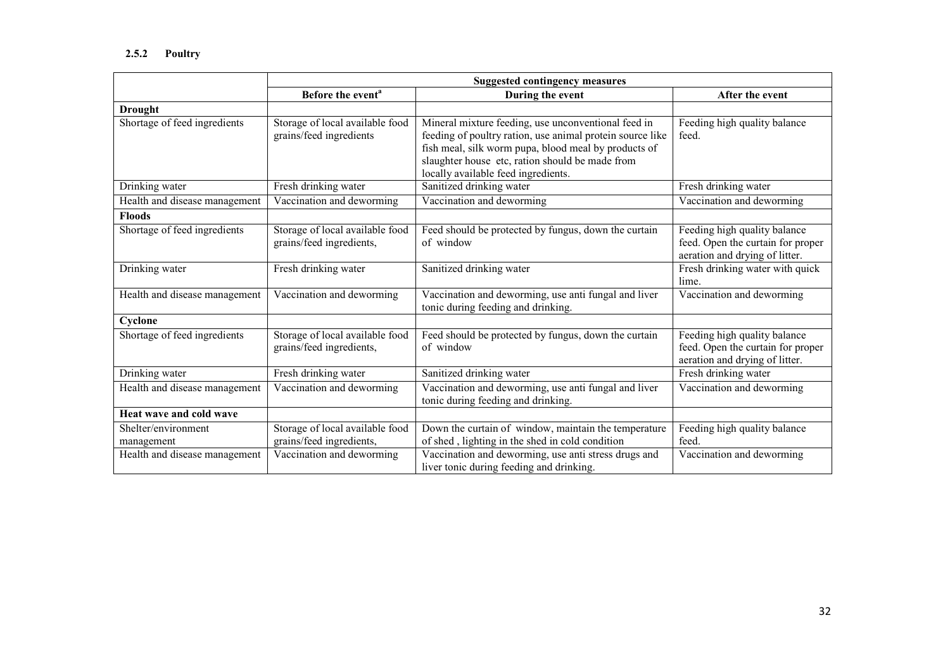|                                   | <b>Suggested contingency measures</b>                       |                                                                                                                                                                                                                                                                    |                                                                                                     |  |
|-----------------------------------|-------------------------------------------------------------|--------------------------------------------------------------------------------------------------------------------------------------------------------------------------------------------------------------------------------------------------------------------|-----------------------------------------------------------------------------------------------------|--|
|                                   | Before the event <sup>a</sup>                               | During the event                                                                                                                                                                                                                                                   | After the event                                                                                     |  |
| <b>Drought</b>                    |                                                             |                                                                                                                                                                                                                                                                    |                                                                                                     |  |
| Shortage of feed ingredients      | Storage of local available food<br>grains/feed ingredients  | Mineral mixture feeding, use unconventional feed in<br>feeding of poultry ration, use animal protein source like<br>fish meal, silk worm pupa, blood meal by products of<br>slaughter house etc, ration should be made from<br>locally available feed ingredients. | Feeding high quality balance<br>feed.                                                               |  |
| Drinking water                    | Fresh drinking water                                        | Sanitized drinking water                                                                                                                                                                                                                                           | Fresh drinking water                                                                                |  |
| Health and disease management     | Vaccination and deworming                                   | Vaccination and deworming                                                                                                                                                                                                                                          | Vaccination and deworming                                                                           |  |
| <b>Floods</b>                     |                                                             |                                                                                                                                                                                                                                                                    |                                                                                                     |  |
| Shortage of feed ingredients      | Storage of local available food<br>grains/feed ingredients, | Feed should be protected by fungus, down the curtain<br>of window                                                                                                                                                                                                  | Feeding high quality balance<br>feed. Open the curtain for proper<br>aeration and drying of litter. |  |
| Drinking water                    | Fresh drinking water                                        | Sanitized drinking water                                                                                                                                                                                                                                           | Fresh drinking water with quick<br>lime.                                                            |  |
| Health and disease management     | Vaccination and deworming                                   | Vaccination and deworming, use anti fungal and liver<br>tonic during feeding and drinking.                                                                                                                                                                         | Vaccination and deworming                                                                           |  |
| Cyclone                           |                                                             |                                                                                                                                                                                                                                                                    |                                                                                                     |  |
| Shortage of feed ingredients      | Storage of local available food<br>grains/feed ingredients, | Feed should be protected by fungus, down the curtain<br>of window                                                                                                                                                                                                  | Feeding high quality balance<br>feed. Open the curtain for proper<br>aeration and drying of litter. |  |
| Drinking water                    | Fresh drinking water                                        | Sanitized drinking water                                                                                                                                                                                                                                           | Fresh drinking water                                                                                |  |
| Health and disease management     | Vaccination and deworming                                   | Vaccination and deworming, use anti fungal and liver<br>tonic during feeding and drinking.                                                                                                                                                                         | Vaccination and deworming                                                                           |  |
| Heat wave and cold wave           |                                                             |                                                                                                                                                                                                                                                                    |                                                                                                     |  |
| Shelter/environment<br>management | Storage of local available food<br>grains/feed ingredients, | Down the curtain of window, maintain the temperature<br>of shed, lighting in the shed in cold condition                                                                                                                                                            | Feeding high quality balance<br>feed.                                                               |  |
| Health and disease management     | Vaccination and deworming                                   | Vaccination and deworming, use anti stress drugs and<br>liver tonic during feeding and drinking.                                                                                                                                                                   | Vaccination and deworming                                                                           |  |